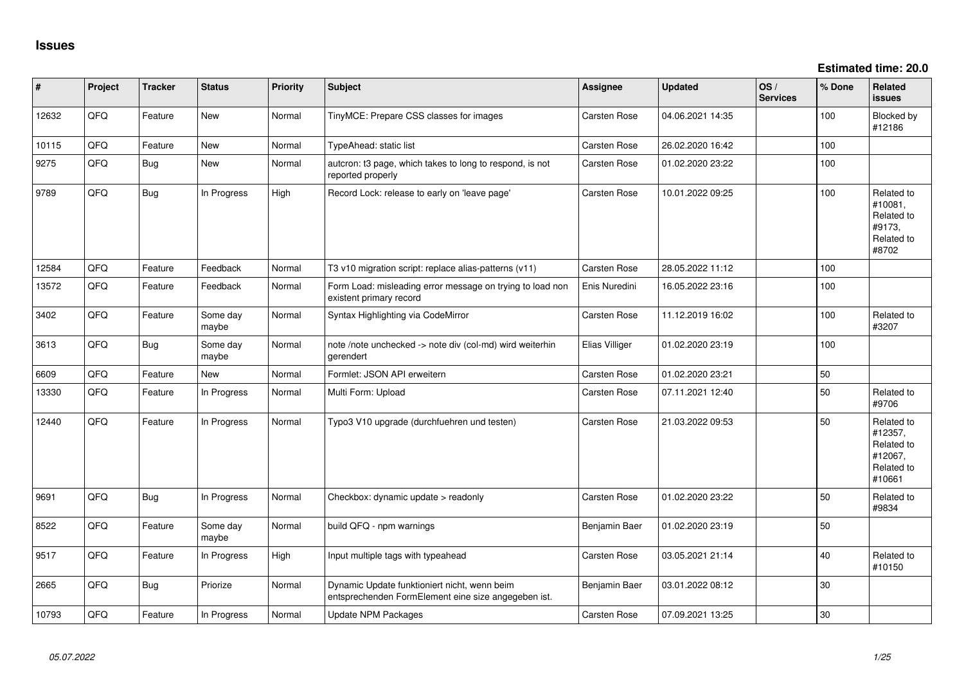**Estimated time: 20.0**

| #     | Project | <b>Tracker</b> | <b>Status</b>     | <b>Priority</b> | <b>Subject</b>                                                                                      | <b>Assignee</b>     | <b>Updated</b>   | OS/<br><b>Services</b> | % Done | Related<br>issues                                                      |
|-------|---------|----------------|-------------------|-----------------|-----------------------------------------------------------------------------------------------------|---------------------|------------------|------------------------|--------|------------------------------------------------------------------------|
| 12632 | QFQ     | Feature        | New               | Normal          | TinyMCE: Prepare CSS classes for images                                                             | Carsten Rose        | 04.06.2021 14:35 |                        | 100    | Blocked by<br>#12186                                                   |
| 10115 | QFQ     | Feature        | <b>New</b>        | Normal          | TypeAhead: static list                                                                              | <b>Carsten Rose</b> | 26.02.2020 16:42 |                        | 100    |                                                                        |
| 9275  | QFQ     | Bug            | <b>New</b>        | Normal          | autcron: t3 page, which takes to long to respond, is not<br>reported properly                       | <b>Carsten Rose</b> | 01.02.2020 23:22 |                        | 100    |                                                                        |
| 9789  | QFQ     | <b>Bug</b>     | In Progress       | High            | Record Lock: release to early on 'leave page'                                                       | <b>Carsten Rose</b> | 10.01.2022 09:25 |                        | 100    | Related to<br>#10081,<br>Related to<br>#9173,<br>Related to<br>#8702   |
| 12584 | QFQ     | Feature        | Feedback          | Normal          | T3 v10 migration script: replace alias-patterns (v11)                                               | <b>Carsten Rose</b> | 28.05.2022 11:12 |                        | 100    |                                                                        |
| 13572 | QFQ     | Feature        | Feedback          | Normal          | Form Load: misleading error message on trying to load non<br>existent primary record                | Enis Nuredini       | 16.05.2022 23:16 |                        | 100    |                                                                        |
| 3402  | QFQ     | Feature        | Some day<br>maybe | Normal          | Syntax Highlighting via CodeMirror                                                                  | <b>Carsten Rose</b> | 11.12.2019 16:02 |                        | 100    | Related to<br>#3207                                                    |
| 3613  | QFQ     | <b>Bug</b>     | Some day<br>maybe | Normal          | note /note unchecked -> note div (col-md) wird weiterhin<br>gerendert                               | Elias Villiger      | 01.02.2020 23:19 |                        | 100    |                                                                        |
| 6609  | QFQ     | Feature        | <b>New</b>        | Normal          | Formlet: JSON API erweitern                                                                         | <b>Carsten Rose</b> | 01.02.2020 23:21 |                        | 50     |                                                                        |
| 13330 | QFQ     | Feature        | In Progress       | Normal          | Multi Form: Upload                                                                                  | Carsten Rose        | 07.11.2021 12:40 |                        | 50     | Related to<br>#9706                                                    |
| 12440 | QFQ     | Feature        | In Progress       | Normal          | Typo3 V10 upgrade (durchfuehren und testen)                                                         | <b>Carsten Rose</b> | 21.03.2022 09:53 |                        | 50     | Related to<br>#12357,<br>Related to<br>#12067,<br>Related to<br>#10661 |
| 9691  | QFQ     | Bug            | In Progress       | Normal          | Checkbox: dynamic update > readonly                                                                 | <b>Carsten Rose</b> | 01.02.2020 23:22 |                        | 50     | Related to<br>#9834                                                    |
| 8522  | QFQ     | Feature        | Some day<br>maybe | Normal          | build QFQ - npm warnings                                                                            | Benjamin Baer       | 01.02.2020 23:19 |                        | 50     |                                                                        |
| 9517  | QFQ     | Feature        | In Progress       | High            | Input multiple tags with typeahead                                                                  | <b>Carsten Rose</b> | 03.05.2021 21:14 |                        | 40     | Related to<br>#10150                                                   |
| 2665  | QFQ     | Bug            | Priorize          | Normal          | Dynamic Update funktioniert nicht, wenn beim<br>entsprechenden FormElement eine size angegeben ist. | Benjamin Baer       | 03.01.2022 08:12 |                        | 30     |                                                                        |
| 10793 | QFQ     | Feature        | In Progress       | Normal          | Update NPM Packages                                                                                 | <b>Carsten Rose</b> | 07.09.2021 13:25 |                        | 30     |                                                                        |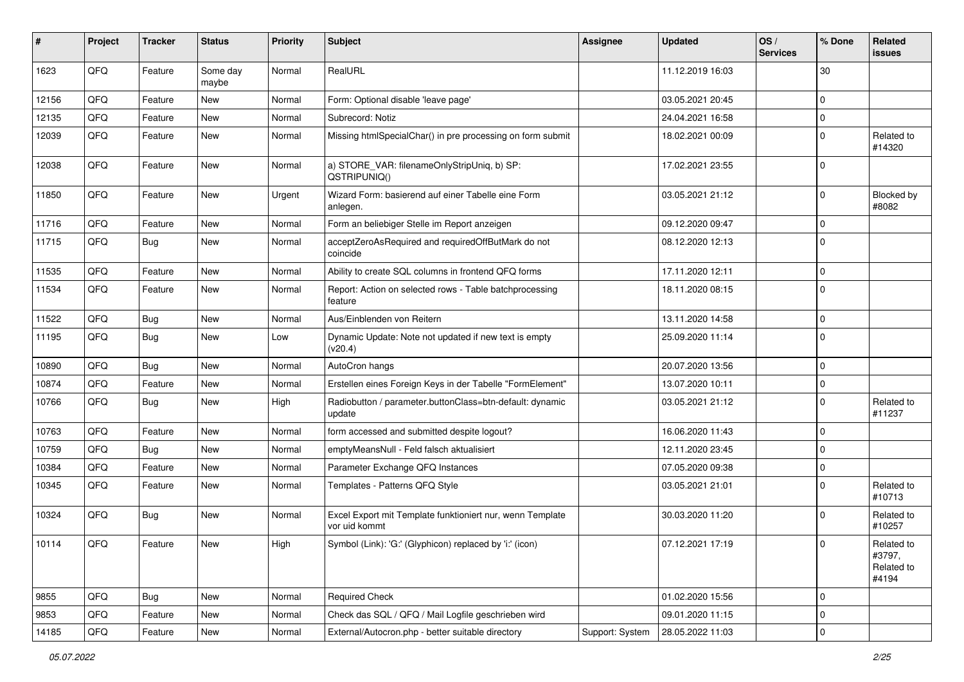| #     | Project | <b>Tracker</b> | <b>Status</b>     | <b>Priority</b> | <b>Subject</b>                                                             | Assignee        | <b>Updated</b>   | OS/<br><b>Services</b> | % Done      | <b>Related</b><br><b>issues</b>             |
|-------|---------|----------------|-------------------|-----------------|----------------------------------------------------------------------------|-----------------|------------------|------------------------|-------------|---------------------------------------------|
| 1623  | QFQ     | Feature        | Some day<br>maybe | Normal          | RealURL                                                                    |                 | 11.12.2019 16:03 |                        | 30          |                                             |
| 12156 | QFQ     | Feature        | <b>New</b>        | Normal          | Form: Optional disable 'leave page'                                        |                 | 03.05.2021 20:45 |                        | $\Omega$    |                                             |
| 12135 | QFQ     | Feature        | <b>New</b>        | Normal          | Subrecord: Notiz                                                           |                 | 24.04.2021 16:58 |                        | $\Omega$    |                                             |
| 12039 | QFQ     | Feature        | New               | Normal          | Missing htmlSpecialChar() in pre processing on form submit                 |                 | 18.02.2021 00:09 |                        | $\Omega$    | Related to<br>#14320                        |
| 12038 | QFQ     | Feature        | New               | Normal          | a) STORE_VAR: filenameOnlyStripUniq, b) SP:<br>QSTRIPUNIQ()                |                 | 17.02.2021 23:55 |                        | $\Omega$    |                                             |
| 11850 | QFQ     | Feature        | <b>New</b>        | Urgent          | Wizard Form: basierend auf einer Tabelle eine Form<br>anlegen.             |                 | 03.05.2021 21:12 |                        | $\Omega$    | <b>Blocked by</b><br>#8082                  |
| 11716 | QFQ     | Feature        | New               | Normal          | Form an beliebiger Stelle im Report anzeigen                               |                 | 09.12.2020 09:47 |                        | $\Omega$    |                                             |
| 11715 | QFQ     | Bug            | New               | Normal          | acceptZeroAsRequired and requiredOffButMark do not<br>coincide             |                 | 08.12.2020 12:13 |                        | $\Omega$    |                                             |
| 11535 | QFQ     | Feature        | <b>New</b>        | Normal          | Ability to create SQL columns in frontend QFQ forms                        |                 | 17.11.2020 12:11 |                        | $\Omega$    |                                             |
| 11534 | QFQ     | Feature        | New               | Normal          | Report: Action on selected rows - Table batchprocessing<br>feature         |                 | 18.11.2020 08:15 |                        | $\Omega$    |                                             |
| 11522 | QFQ     | <b>Bug</b>     | <b>New</b>        | Normal          | Aus/Einblenden von Reitern                                                 |                 | 13.11.2020 14:58 |                        | $\Omega$    |                                             |
| 11195 | QFQ     | <b>Bug</b>     | New               | Low             | Dynamic Update: Note not updated if new text is empty<br>(v20.4)           |                 | 25.09.2020 11:14 |                        | $\Omega$    |                                             |
| 10890 | QFQ     | Bug            | New               | Normal          | AutoCron hangs                                                             |                 | 20.07.2020 13:56 |                        | $\Omega$    |                                             |
| 10874 | QFQ     | Feature        | <b>New</b>        | Normal          | Erstellen eines Foreign Keys in der Tabelle "FormElement"                  |                 | 13.07.2020 10:11 |                        | $\mathbf 0$ |                                             |
| 10766 | QFQ     | Bug            | <b>New</b>        | High            | Radiobutton / parameter.buttonClass=btn-default: dynamic<br>update         |                 | 03.05.2021 21:12 |                        | $\Omega$    | Related to<br>#11237                        |
| 10763 | QFQ     | Feature        | New               | Normal          | form accessed and submitted despite logout?                                |                 | 16.06.2020 11:43 |                        | $\Omega$    |                                             |
| 10759 | QFQ     | Bug            | <b>New</b>        | Normal          | emptyMeansNull - Feld falsch aktualisiert                                  |                 | 12.11.2020 23:45 |                        | $\Omega$    |                                             |
| 10384 | QFQ     | Feature        | <b>New</b>        | Normal          | Parameter Exchange QFQ Instances                                           |                 | 07.05.2020 09:38 |                        | 0           |                                             |
| 10345 | QFQ     | Feature        | New               | Normal          | Templates - Patterns QFQ Style                                             |                 | 03.05.2021 21:01 |                        | $\Omega$    | Related to<br>#10713                        |
| 10324 | QFQ     | <b>Bug</b>     | <b>New</b>        | Normal          | Excel Export mit Template funktioniert nur, wenn Template<br>vor uid kommt |                 | 30.03.2020 11:20 |                        | $\Omega$    | Related to<br>#10257                        |
| 10114 | QFQ     | Feature        | New               | High            | Symbol (Link): 'G:' (Glyphicon) replaced by 'i:' (icon)                    |                 | 07.12.2021 17:19 |                        | $\Omega$    | Related to<br>#3797,<br>Related to<br>#4194 |
| 9855  | QFQ     | <b>Bug</b>     | New               | Normal          | <b>Required Check</b>                                                      |                 | 01.02.2020 15:56 |                        | $\mathbf 0$ |                                             |
| 9853  | QFQ     | Feature        | New               | Normal          | Check das SQL / QFQ / Mail Logfile geschrieben wird                        |                 | 09.01.2020 11:15 |                        | $\mathbf 0$ |                                             |
| 14185 | QFQ     | Feature        | New               | Normal          | External/Autocron.php - better suitable directory                          | Support: System | 28.05.2022 11:03 |                        | $\pmb{0}$   |                                             |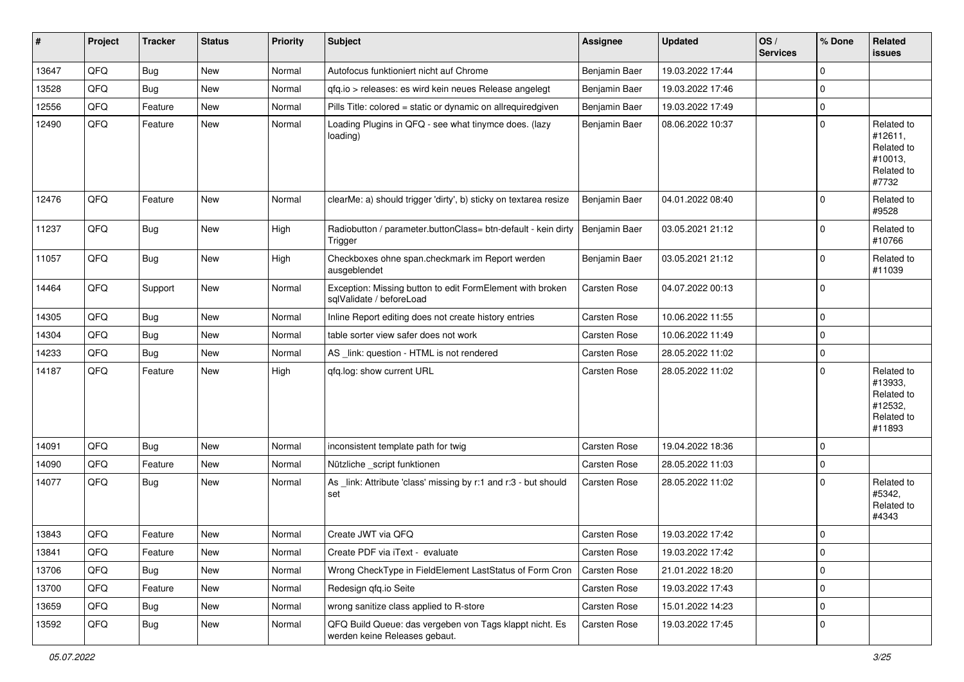| #     | Project | <b>Tracker</b> | <b>Status</b> | <b>Priority</b> | <b>Subject</b>                                                                           | <b>Assignee</b>     | <b>Updated</b>   | OS/<br><b>Services</b> | % Done      | <b>Related</b><br><b>issues</b>                                        |
|-------|---------|----------------|---------------|-----------------|------------------------------------------------------------------------------------------|---------------------|------------------|------------------------|-------------|------------------------------------------------------------------------|
| 13647 | QFQ     | <b>Bug</b>     | New           | Normal          | Autofocus funktioniert nicht auf Chrome                                                  | Benjamin Baer       | 19.03.2022 17:44 |                        | $\Omega$    |                                                                        |
| 13528 | QFQ     | <b>Bug</b>     | <b>New</b>    | Normal          | gfg.io > releases: es wird kein neues Release angelegt                                   | Benjamin Baer       | 19.03.2022 17:46 |                        | $\Omega$    |                                                                        |
| 12556 | QFQ     | Feature        | <b>New</b>    | Normal          | Pills Title: colored = static or dynamic on allrequiredgiven                             | Benjamin Baer       | 19.03.2022 17:49 |                        | $\Omega$    |                                                                        |
| 12490 | QFQ     | Feature        | New           | Normal          | Loading Plugins in QFQ - see what tinymce does. (lazy<br>loading)                        | Benjamin Baer       | 08.06.2022 10:37 |                        | $\Omega$    | Related to<br>#12611,<br>Related to<br>#10013,<br>Related to<br>#7732  |
| 12476 | QFQ     | Feature        | New           | Normal          | clearMe: a) should trigger 'dirty', b) sticky on textarea resize                         | Benjamin Baer       | 04.01.2022 08:40 |                        | $\Omega$    | Related to<br>#9528                                                    |
| 11237 | QFQ     | Bug            | New           | High            | Radiobutton / parameter.buttonClass= btn-default - kein dirty<br>Trigger                 | Benjamin Baer       | 03.05.2021 21:12 |                        | $\Omega$    | Related to<br>#10766                                                   |
| 11057 | QFQ     | <b>Bug</b>     | New           | High            | Checkboxes ohne span.checkmark im Report werden<br>ausgeblendet                          | Benjamin Baer       | 03.05.2021 21:12 |                        | $\Omega$    | Related to<br>#11039                                                   |
| 14464 | QFQ     | Support        | New           | Normal          | Exception: Missing button to edit FormElement with broken<br>sqlValidate / beforeLoad    | <b>Carsten Rose</b> | 04.07.2022 00:13 |                        | $\Omega$    |                                                                        |
| 14305 | QFQ     | <b>Bug</b>     | <b>New</b>    | Normal          | Inline Report editing does not create history entries                                    | <b>Carsten Rose</b> | 10.06.2022 11:55 |                        | $\Omega$    |                                                                        |
| 14304 | QFQ     | <b>Bug</b>     | New           | Normal          | table sorter view safer does not work                                                    | <b>Carsten Rose</b> | 10.06.2022 11:49 |                        | $\Omega$    |                                                                        |
| 14233 | QFQ     | <b>Bug</b>     | <b>New</b>    | Normal          | AS _link: question - HTML is not rendered                                                | Carsten Rose        | 28.05.2022 11:02 |                        | $\Omega$    |                                                                        |
| 14187 | QFQ     | Feature        | New           | High            | qfq.log: show current URL                                                                | <b>Carsten Rose</b> | 28.05.2022 11:02 |                        | $\Omega$    | Related to<br>#13933,<br>Related to<br>#12532,<br>Related to<br>#11893 |
| 14091 | QFQ     | Bug            | <b>New</b>    | Normal          | inconsistent template path for twig                                                      | <b>Carsten Rose</b> | 19.04.2022 18:36 |                        | $\Omega$    |                                                                        |
| 14090 | QFQ     | Feature        | New           | Normal          | Nützliche _script funktionen                                                             | <b>Carsten Rose</b> | 28.05.2022 11:03 |                        | $\Omega$    |                                                                        |
| 14077 | QFQ     | <b>Bug</b>     | New           | Normal          | As _link: Attribute 'class' missing by r:1 and r:3 - but should<br>set                   | Carsten Rose        | 28.05.2022 11:02 |                        | $\Omega$    | Related to<br>#5342,<br>Related to<br>#4343                            |
| 13843 | QFQ     | Feature        | New           | Normal          | Create JWT via QFQ                                                                       | <b>Carsten Rose</b> | 19.03.2022 17:42 |                        | $\Omega$    |                                                                        |
| 13841 | QFQ     | Feature        | New           | Normal          | Create PDF via iText - evaluate                                                          | Carsten Rose        | 19.03.2022 17:42 |                        | 0           |                                                                        |
| 13706 | QFQ     | Bug            | New           | Normal          | Wrong CheckType in FieldElement LastStatus of Form Cron                                  | Carsten Rose        | 21.01.2022 18:20 |                        | $\Omega$    |                                                                        |
| 13700 | QFQ     | Feature        | New           | Normal          | Redesign qfq.io Seite                                                                    | Carsten Rose        | 19.03.2022 17:43 |                        | $\Omega$    |                                                                        |
| 13659 | QFQ     | <b>Bug</b>     | New           | Normal          | wrong sanitize class applied to R-store                                                  | Carsten Rose        | 15.01.2022 14:23 |                        | 0           |                                                                        |
| 13592 | QFQ     | <b>Bug</b>     | New           | Normal          | QFQ Build Queue: das vergeben von Tags klappt nicht. Es<br>werden keine Releases gebaut. | Carsten Rose        | 19.03.2022 17:45 |                        | $\mathbf 0$ |                                                                        |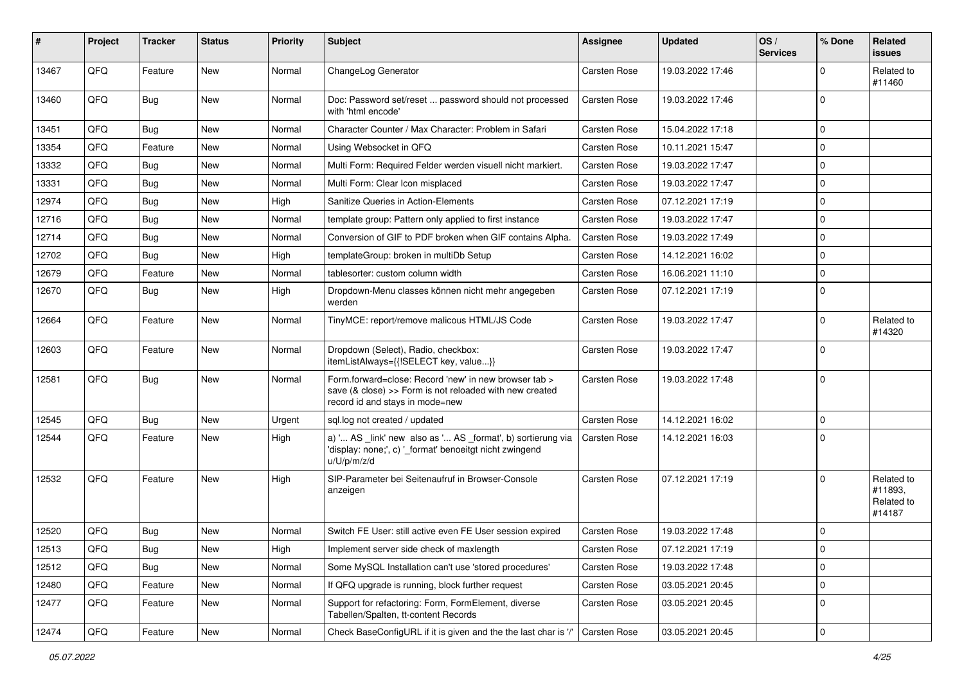| #     | Project | <b>Tracker</b> | <b>Status</b> | <b>Priority</b> | <b>Subject</b>                                                                                                                                      | <b>Assignee</b>     | <b>Updated</b>   | OS/<br><b>Services</b> | % Done      | <b>Related</b><br><b>issues</b>               |
|-------|---------|----------------|---------------|-----------------|-----------------------------------------------------------------------------------------------------------------------------------------------------|---------------------|------------------|------------------------|-------------|-----------------------------------------------|
| 13467 | QFQ     | Feature        | New           | Normal          | ChangeLog Generator                                                                                                                                 | Carsten Rose        | 19.03.2022 17:46 |                        | $\Omega$    | Related to<br>#11460                          |
| 13460 | QFQ     | Bug            | <b>New</b>    | Normal          | Doc: Password set/reset  password should not processed<br>with 'html encode'                                                                        | Carsten Rose        | 19.03.2022 17:46 |                        | 0           |                                               |
| 13451 | QFQ     | <b>Bug</b>     | New           | Normal          | Character Counter / Max Character: Problem in Safari                                                                                                | <b>Carsten Rose</b> | 15.04.2022 17:18 |                        | $\mathbf 0$ |                                               |
| 13354 | QFQ     | Feature        | <b>New</b>    | Normal          | Using Websocket in QFQ                                                                                                                              | Carsten Rose        | 10.11.2021 15:47 |                        | $\mathbf 0$ |                                               |
| 13332 | QFQ     | <b>Bug</b>     | <b>New</b>    | Normal          | Multi Form: Required Felder werden visuell nicht markiert.                                                                                          | <b>Carsten Rose</b> | 19.03.2022 17:47 |                        | $\mathbf 0$ |                                               |
| 13331 | QFQ     | <b>Bug</b>     | <b>New</b>    | Normal          | Multi Form: Clear Icon misplaced                                                                                                                    | Carsten Rose        | 19.03.2022 17:47 |                        | $\mathbf 0$ |                                               |
| 12974 | QFQ     | <b>Bug</b>     | New           | High            | Sanitize Queries in Action-Elements                                                                                                                 | <b>Carsten Rose</b> | 07.12.2021 17:19 |                        | $\mathbf 0$ |                                               |
| 12716 | QFQ     | <b>Bug</b>     | <b>New</b>    | Normal          | template group: Pattern only applied to first instance                                                                                              | <b>Carsten Rose</b> | 19.03.2022 17:47 |                        | $\mathbf 0$ |                                               |
| 12714 | QFQ     | <b>Bug</b>     | <b>New</b>    | Normal          | Conversion of GIF to PDF broken when GIF contains Alpha.                                                                                            | Carsten Rose        | 19.03.2022 17:49 |                        | $\mathbf 0$ |                                               |
| 12702 | QFQ     | <b>Bug</b>     | <b>New</b>    | High            | templateGroup: broken in multiDb Setup                                                                                                              | <b>Carsten Rose</b> | 14.12.2021 16:02 |                        | $\Omega$    |                                               |
| 12679 | QFQ     | Feature        | New           | Normal          | tablesorter: custom column width                                                                                                                    | <b>Carsten Rose</b> | 16.06.2021 11:10 |                        | $\mathbf 0$ |                                               |
| 12670 | QFQ     | Bug            | <b>New</b>    | High            | Dropdown-Menu classes können nicht mehr angegeben<br>werden                                                                                         | Carsten Rose        | 07.12.2021 17:19 |                        | $\mathbf 0$ |                                               |
| 12664 | QFQ     | Feature        | <b>New</b>    | Normal          | TinyMCE: report/remove malicous HTML/JS Code                                                                                                        | <b>Carsten Rose</b> | 19.03.2022 17:47 |                        | $\Omega$    | Related to<br>#14320                          |
| 12603 | QFQ     | Feature        | New           | Normal          | Dropdown (Select), Radio, checkbox:<br>itemListAlways={{!SELECT key, value}}                                                                        | <b>Carsten Rose</b> | 19.03.2022 17:47 |                        | $\Omega$    |                                               |
| 12581 | QFQ     | Bug            | New           | Normal          | Form.forward=close: Record 'new' in new browser tab ><br>save (& close) >> Form is not reloaded with new created<br>record id and stays in mode=new | <b>Carsten Rose</b> | 19.03.2022 17:48 |                        | $\Omega$    |                                               |
| 12545 | QFQ     | <b>Bug</b>     | <b>New</b>    | Urgent          | sql.log not created / updated                                                                                                                       | <b>Carsten Rose</b> | 14.12.2021 16:02 |                        | $\mathbf 0$ |                                               |
| 12544 | QFQ     | Feature        | <b>New</b>    | High            | a) ' AS _link' new also as ' AS _format', b) sortierung via<br>'display: none;', c) '_format' benoeitgt nicht zwingend<br>u/U/p/m/z/d               | <b>Carsten Rose</b> | 14.12.2021 16:03 |                        | $\Omega$    |                                               |
| 12532 | QFQ     | Feature        | <b>New</b>    | High            | SIP-Parameter bei Seitenaufruf in Browser-Console<br>anzeigen                                                                                       | Carsten Rose        | 07.12.2021 17:19 |                        | $\Omega$    | Related to<br>#11893.<br>Related to<br>#14187 |
| 12520 | QFQ     | Bug            | <b>New</b>    | Normal          | Switch FE User: still active even FE User session expired                                                                                           | <b>Carsten Rose</b> | 19.03.2022 17:48 |                        | $\mathbf 0$ |                                               |
| 12513 | QFQ     | Bug            | New           | High            | Implement server side check of maxlength                                                                                                            | <b>Carsten Rose</b> | 07.12.2021 17:19 |                        | 0           |                                               |
| 12512 | QFQ     | <b>Bug</b>     | New           | Normal          | Some MySQL Installation can't use 'stored procedures'                                                                                               | Carsten Rose        | 19.03.2022 17:48 |                        | $\mathbf 0$ |                                               |
| 12480 | QFQ     | Feature        | New           | Normal          | If QFQ upgrade is running, block further request                                                                                                    | Carsten Rose        | 03.05.2021 20:45 |                        | $\mathbf 0$ |                                               |
| 12477 | QFQ     | Feature        | New           | Normal          | Support for refactoring: Form, FormElement, diverse<br>Tabellen/Spalten, tt-content Records                                                         | Carsten Rose        | 03.05.2021 20:45 |                        | 0           |                                               |
| 12474 | QFQ     | Feature        | New           | Normal          | Check BaseConfigURL if it is given and the the last char is '/'                                                                                     | Carsten Rose        | 03.05.2021 20:45 |                        | 0           |                                               |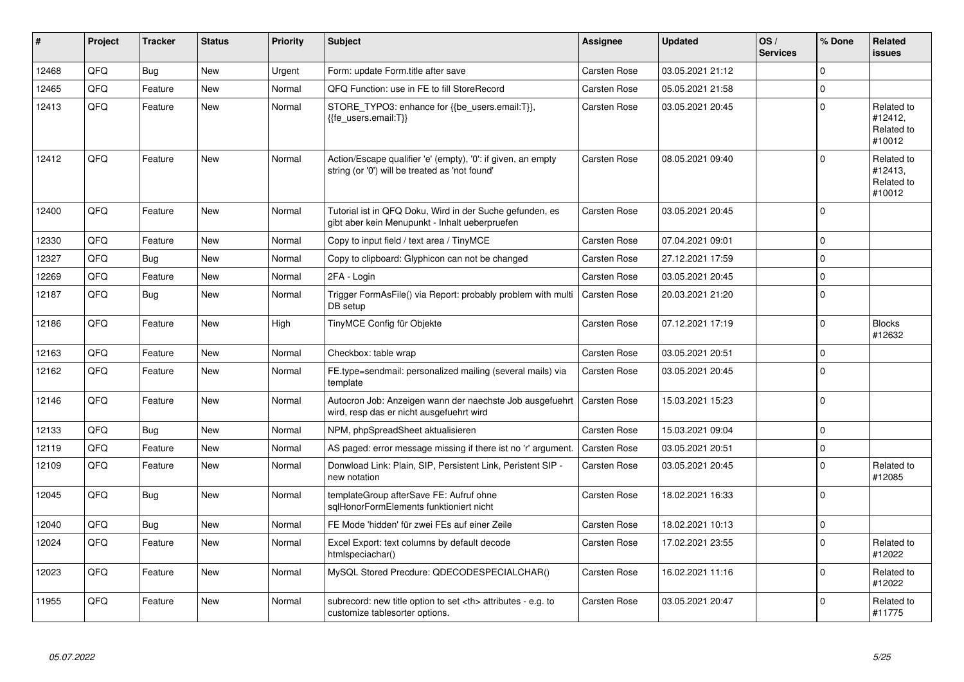| #     | Project | <b>Tracker</b> | <b>Status</b> | <b>Priority</b> | <b>Subject</b>                                                                                                 | <b>Assignee</b>                                        | <b>Updated</b>      | OS/<br><b>Services</b> | % Done   | <b>Related</b><br><b>issues</b>               |                      |
|-------|---------|----------------|---------------|-----------------|----------------------------------------------------------------------------------------------------------------|--------------------------------------------------------|---------------------|------------------------|----------|-----------------------------------------------|----------------------|
| 12468 | QFQ     | <b>Bug</b>     | <b>New</b>    | Urgent          | Form: update Form.title after save                                                                             | <b>Carsten Rose</b>                                    | 03.05.2021 21:12    |                        | $\Omega$ |                                               |                      |
| 12465 | QFQ     | Feature        | <b>New</b>    | Normal          | QFQ Function: use in FE to fill StoreRecord                                                                    | <b>Carsten Rose</b>                                    | 05.05.2021 21:58    |                        | $\Omega$ |                                               |                      |
| 12413 | QFQ     | Feature        | <b>New</b>    | Normal          | STORE_TYPO3: enhance for {{be_users.email:T}},<br>{{fe users.email:T}}                                         | Carsten Rose                                           | 03.05.2021 20:45    |                        | $\Omega$ | Related to<br>#12412,<br>Related to<br>#10012 |                      |
| 12412 | QFQ     | Feature        | <b>New</b>    | Normal          | Action/Escape qualifier 'e' (empty), '0': if given, an empty<br>string (or '0') will be treated as 'not found' | <b>Carsten Rose</b>                                    | 08.05.2021 09:40    |                        | $\Omega$ | Related to<br>#12413,<br>Related to<br>#10012 |                      |
| 12400 | QFQ     | Feature        | <b>New</b>    | Normal          | Tutorial ist in QFQ Doku, Wird in der Suche gefunden, es<br>gibt aber kein Menupunkt - Inhalt ueberpruefen     | <b>Carsten Rose</b>                                    | 03.05.2021 20:45    |                        | $\Omega$ |                                               |                      |
| 12330 | QFQ     | Feature        | <b>New</b>    | Normal          | Copy to input field / text area / TinyMCE                                                                      | Carsten Rose                                           | 07.04.2021 09:01    |                        | $\Omega$ |                                               |                      |
| 12327 | QFQ     | <b>Bug</b>     | New           | Normal          | Copy to clipboard: Glyphicon can not be changed                                                                | <b>Carsten Rose</b>                                    | 27.12.2021 17:59    |                        | $\Omega$ |                                               |                      |
| 12269 | QFQ     | Feature        | <b>New</b>    | Normal          | 2FA - Login                                                                                                    | <b>Carsten Rose</b>                                    | 03.05.2021 20:45    |                        | $\Omega$ |                                               |                      |
| 12187 | QFQ     | <b>Bug</b>     | New           | Normal          | Trigger FormAsFile() via Report: probably problem with multi<br>DB setup                                       | Carsten Rose                                           | 20.03.2021 21:20    |                        | $\Omega$ |                                               |                      |
| 12186 | QFQ     | Feature        | New           | High            | TinyMCE Config für Objekte                                                                                     | Carsten Rose                                           | 07.12.2021 17:19    |                        | $\Omega$ | <b>Blocks</b><br>#12632                       |                      |
| 12163 | QFQ     | Feature        | <b>New</b>    | Normal          | Checkbox: table wrap                                                                                           | <b>Carsten Rose</b>                                    | 03.05.2021 20:51    |                        | $\Omega$ |                                               |                      |
| 12162 | QFQ     | Feature        | <b>New</b>    | Normal          | FE.type=sendmail: personalized mailing (several mails) via<br>template                                         | <b>Carsten Rose</b>                                    | 03.05.2021 20:45    |                        | $\Omega$ |                                               |                      |
| 12146 | QFQ     | Feature        | <b>New</b>    | Normal          | Autocron Job: Anzeigen wann der naechste Job ausgefuehrt<br>wird, resp das er nicht ausgefuehrt wird           | <b>Carsten Rose</b>                                    | 15.03.2021 15:23    |                        | $\Omega$ |                                               |                      |
| 12133 | QFQ     | Bug            | <b>New</b>    | Normal          | NPM, phpSpreadSheet aktualisieren                                                                              | Carsten Rose                                           | 15.03.2021 09:04    |                        | $\Omega$ |                                               |                      |
| 12119 | QFQ     | Feature        | <b>New</b>    | Normal          | AS paged: error message missing if there ist no 'r' argument.                                                  | <b>Carsten Rose</b>                                    | 03.05.2021 20:51    |                        | $\Omega$ |                                               |                      |
| 12109 | QFQ     | Feature        | <b>New</b>    | Normal          | Donwload Link: Plain, SIP, Persistent Link, Peristent SIP -<br>new notation                                    | <b>Carsten Rose</b>                                    | 03.05.2021 20:45    |                        | $\Omega$ | Related to<br>#12085                          |                      |
| 12045 | QFQ     | <b>Bug</b>     | <b>New</b>    | Normal          | templateGroup afterSave FE: Aufruf ohne<br>sglHonorFormElements funktioniert nicht                             | Carsten Rose                                           | 18.02.2021 16:33    |                        | $\Omega$ |                                               |                      |
| 12040 | QFQ     | <b>Bug</b>     | New           | Normal          | FE Mode 'hidden' für zwei FEs auf einer Zeile                                                                  | <b>Carsten Rose</b>                                    | 18.02.2021 10:13    |                        | $\Omega$ |                                               |                      |
| 12024 | QFQ     | Feature        | <b>New</b>    | Normal          | Excel Export: text columns by default decode<br>htmlspeciachar()                                               | <b>Carsten Rose</b>                                    | 17.02.2021 23:55    |                        | $\Omega$ | Related to<br>#12022                          |                      |
| 12023 | QFQ     | Feature        | <b>New</b>    | Normal          | MySQL Stored Precdure: QDECODESPECIALCHAR()                                                                    | <b>Carsten Rose</b>                                    | 16.02.2021 11:16    |                        | $\Omega$ | Related to<br>#12022                          |                      |
| 11955 | QFQ     | Feature        | <b>New</b>    | Normal          | subrecord: new title option to set <th> attributes - e.g. to<br/>customize tablesorter options.</th>           | attributes - e.g. to<br>customize tablesorter options. | <b>Carsten Rose</b> | 03.05.2021 20:47       |          | $\Omega$                                      | Related to<br>#11775 |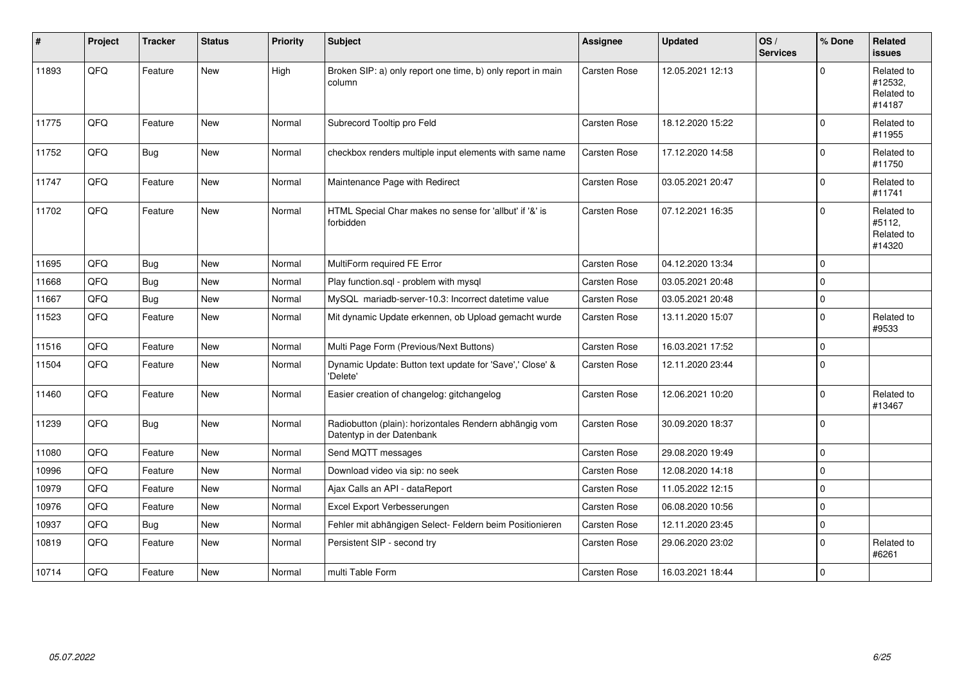| #     | Project | <b>Tracker</b> | <b>Status</b> | <b>Priority</b> | <b>Subject</b>                                                                      | Assignee            | <b>Updated</b>   | OS/<br><b>Services</b> | % Done      | Related<br><b>issues</b>                      |
|-------|---------|----------------|---------------|-----------------|-------------------------------------------------------------------------------------|---------------------|------------------|------------------------|-------------|-----------------------------------------------|
| 11893 | QFQ     | Feature        | <b>New</b>    | High            | Broken SIP: a) only report one time, b) only report in main<br>column               | Carsten Rose        | 12.05.2021 12:13 |                        | $\Omega$    | Related to<br>#12532,<br>Related to<br>#14187 |
| 11775 | QFQ     | Feature        | <b>New</b>    | Normal          | Subrecord Tooltip pro Feld                                                          | <b>Carsten Rose</b> | 18.12.2020 15:22 |                        | $\mathbf 0$ | Related to<br>#11955                          |
| 11752 | QFQ     | <b>Bug</b>     | <b>New</b>    | Normal          | checkbox renders multiple input elements with same name                             | <b>Carsten Rose</b> | 17.12.2020 14:58 |                        | $\Omega$    | Related to<br>#11750                          |
| 11747 | QFQ     | Feature        | <b>New</b>    | Normal          | Maintenance Page with Redirect                                                      | <b>Carsten Rose</b> | 03.05.2021 20:47 |                        | $\mathbf 0$ | Related to<br>#11741                          |
| 11702 | QFQ     | Feature        | New           | Normal          | HTML Special Char makes no sense for 'allbut' if '&' is<br>forbidden                | <b>Carsten Rose</b> | 07.12.2021 16:35 |                        | $\Omega$    | Related to<br>#5112,<br>Related to<br>#14320  |
| 11695 | QFQ     | Bug            | <b>New</b>    | Normal          | MultiForm required FE Error                                                         | <b>Carsten Rose</b> | 04.12.2020 13:34 |                        | $\Omega$    |                                               |
| 11668 | QFQ     | Bug            | New           | Normal          | Play function.sql - problem with mysql                                              | Carsten Rose        | 03.05.2021 20:48 |                        | $\mathbf 0$ |                                               |
| 11667 | QFQ     | <b>Bug</b>     | <b>New</b>    | Normal          | MySQL mariadb-server-10.3: Incorrect datetime value                                 | <b>Carsten Rose</b> | 03.05.2021 20:48 |                        | $\Omega$    |                                               |
| 11523 | QFQ     | Feature        | <b>New</b>    | Normal          | Mit dynamic Update erkennen, ob Upload gemacht wurde                                | Carsten Rose        | 13.11.2020 15:07 |                        | $\Omega$    | Related to<br>#9533                           |
| 11516 | QFQ     | Feature        | New           | Normal          | Multi Page Form (Previous/Next Buttons)                                             | Carsten Rose        | 16.03.2021 17:52 |                        | $\Omega$    |                                               |
| 11504 | QFQ     | Feature        | <b>New</b>    | Normal          | Dynamic Update: Button text update for 'Save',' Close' &<br>'Delete'                | Carsten Rose        | 12.11.2020 23:44 |                        | $\Omega$    |                                               |
| 11460 | QFQ     | Feature        | <b>New</b>    | Normal          | Easier creation of changelog: gitchangelog                                          | Carsten Rose        | 12.06.2021 10:20 |                        | 0           | Related to<br>#13467                          |
| 11239 | QFQ     | Bug            | <b>New</b>    | Normal          | Radiobutton (plain): horizontales Rendern abhängig vom<br>Datentyp in der Datenbank | Carsten Rose        | 30.09.2020 18:37 |                        | $\Omega$    |                                               |
| 11080 | QFQ     | Feature        | <b>New</b>    | Normal          | Send MQTT messages                                                                  | <b>Carsten Rose</b> | 29.08.2020 19:49 |                        | 0           |                                               |
| 10996 | QFQ     | Feature        | <b>New</b>    | Normal          | Download video via sip: no seek                                                     | <b>Carsten Rose</b> | 12.08.2020 14:18 |                        | $\Omega$    |                                               |
| 10979 | QFQ     | Feature        | New           | Normal          | Ajax Calls an API - dataReport                                                      | Carsten Rose        | 11.05.2022 12:15 |                        | $\Omega$    |                                               |
| 10976 | QFQ     | Feature        | <b>New</b>    | Normal          | Excel Export Verbesserungen                                                         | <b>Carsten Rose</b> | 06.08.2020 10:56 |                        | $\Omega$    |                                               |
| 10937 | QFQ     | Bug            | New           | Normal          | Fehler mit abhängigen Select- Feldern beim Positionieren                            | <b>Carsten Rose</b> | 12.11.2020 23:45 |                        | 0           |                                               |
| 10819 | QFQ     | Feature        | <b>New</b>    | Normal          | Persistent SIP - second try                                                         | <b>Carsten Rose</b> | 29.06.2020 23:02 |                        | $\Omega$    | Related to<br>#6261                           |
| 10714 | QFQ     | Feature        | <b>New</b>    | Normal          | multi Table Form                                                                    | <b>Carsten Rose</b> | 16.03.2021 18:44 |                        | $\mathbf 0$ |                                               |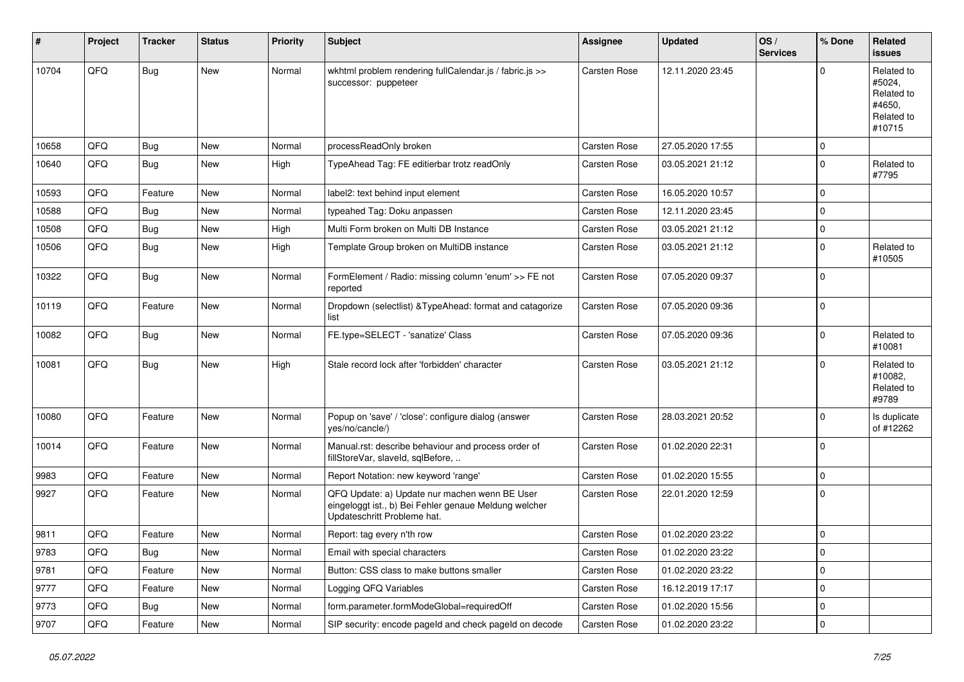| #     | Project | <b>Tracker</b> | <b>Status</b> | <b>Priority</b> | Subject                                                                                                                               | <b>Assignee</b>     | <b>Updated</b>   | OS/<br><b>Services</b> | % Done      | <b>Related</b><br><b>issues</b>                                      |
|-------|---------|----------------|---------------|-----------------|---------------------------------------------------------------------------------------------------------------------------------------|---------------------|------------------|------------------------|-------------|----------------------------------------------------------------------|
| 10704 | QFQ     | <b>Bug</b>     | New           | Normal          | wkhtml problem rendering fullCalendar.js / fabric.js >><br>successor: puppeteer                                                       | Carsten Rose        | 12.11.2020 23:45 |                        | $\Omega$    | Related to<br>#5024,<br>Related to<br>#4650,<br>Related to<br>#10715 |
| 10658 | QFQ     | <b>Bug</b>     | New           | Normal          | processReadOnly broken                                                                                                                | <b>Carsten Rose</b> | 27.05.2020 17:55 |                        | $\Omega$    |                                                                      |
| 10640 | QFQ     | <b>Bug</b>     | New           | High            | TypeAhead Tag: FE editierbar trotz readOnly                                                                                           | <b>Carsten Rose</b> | 03.05.2021 21:12 |                        | $\Omega$    | Related to<br>#7795                                                  |
| 10593 | QFQ     | Feature        | <b>New</b>    | Normal          | label2: text behind input element                                                                                                     | <b>Carsten Rose</b> | 16.05.2020 10:57 |                        | $\Omega$    |                                                                      |
| 10588 | QFQ     | Bug            | New           | Normal          | typeahed Tag: Doku anpassen                                                                                                           | <b>Carsten Rose</b> | 12.11.2020 23:45 |                        | $\Omega$    |                                                                      |
| 10508 | QFQ     | <b>Bug</b>     | New           | High            | Multi Form broken on Multi DB Instance                                                                                                | <b>Carsten Rose</b> | 03.05.2021 21:12 |                        | $\Omega$    |                                                                      |
| 10506 | QFQ     | <b>Bug</b>     | New           | High            | Template Group broken on MultiDB instance                                                                                             | Carsten Rose        | 03.05.2021 21:12 |                        | $\Omega$    | Related to<br>#10505                                                 |
| 10322 | QFQ     | <b>Bug</b>     | New           | Normal          | FormElement / Radio: missing column 'enum' >> FE not<br>reported                                                                      | <b>Carsten Rose</b> | 07.05.2020 09:37 |                        | $\Omega$    |                                                                      |
| 10119 | QFQ     | Feature        | <b>New</b>    | Normal          | Dropdown (selectlist) & TypeAhead: format and catagorize<br>list                                                                      | <b>Carsten Rose</b> | 07.05.2020 09:36 |                        | $\mathbf 0$ |                                                                      |
| 10082 | QFQ     | <b>Bug</b>     | New           | Normal          | FE.type=SELECT - 'sanatize' Class                                                                                                     | <b>Carsten Rose</b> | 07.05.2020 09:36 |                        | $\Omega$    | Related to<br>#10081                                                 |
| 10081 | QFQ     | <b>Bug</b>     | New           | High            | Stale record lock after 'forbidden' character                                                                                         | <b>Carsten Rose</b> | 03.05.2021 21:12 |                        | $\Omega$    | Related to<br>#10082,<br>Related to<br>#9789                         |
| 10080 | QFQ     | Feature        | New           | Normal          | Popup on 'save' / 'close': configure dialog (answer<br>yes/no/cancle/)                                                                | Carsten Rose        | 28.03.2021 20:52 |                        | $\Omega$    | Is duplicate<br>of #12262                                            |
| 10014 | QFQ     | Feature        | New           | Normal          | Manual.rst: describe behaviour and process order of<br>fillStoreVar, slaveId, sqlBefore,                                              | <b>Carsten Rose</b> | 01.02.2020 22:31 |                        | $\Omega$    |                                                                      |
| 9983  | QFQ     | Feature        | New           | Normal          | Report Notation: new keyword 'range'                                                                                                  | Carsten Rose        | 01.02.2020 15:55 |                        | $\Omega$    |                                                                      |
| 9927  | QFQ     | Feature        | New           | Normal          | QFQ Update: a) Update nur machen wenn BE User<br>eingeloggt ist., b) Bei Fehler genaue Meldung welcher<br>Updateschritt Probleme hat. | <b>Carsten Rose</b> | 22.01.2020 12:59 |                        | $\Omega$    |                                                                      |
| 9811  | QFQ     | Feature        | New           | Normal          | Report: tag every n'th row                                                                                                            | <b>Carsten Rose</b> | 01.02.2020 23:22 |                        | $\Omega$    |                                                                      |
| 9783  | QFQ     | Bug            | New           | Normal          | Email with special characters                                                                                                         | Carsten Rose        | 01.02.2020 23:22 |                        | 0           |                                                                      |
| 9781  | QFQ     | Feature        | New           | Normal          | Button: CSS class to make buttons smaller                                                                                             | Carsten Rose        | 01.02.2020 23:22 |                        | $\mathbf 0$ |                                                                      |
| 9777  | QFQ     | Feature        | New           | Normal          | Logging QFQ Variables                                                                                                                 | Carsten Rose        | 16.12.2019 17:17 |                        | $\mathbf 0$ |                                                                      |
| 9773  | QFQ     | <b>Bug</b>     | New           | Normal          | form.parameter.formModeGlobal=requiredOff                                                                                             | Carsten Rose        | 01.02.2020 15:56 |                        | $\mathbf 0$ |                                                                      |
| 9707  | QFQ     | Feature        | New           | Normal          | SIP security: encode pageld and check pageld on decode                                                                                | Carsten Rose        | 01.02.2020 23:22 |                        | 0           |                                                                      |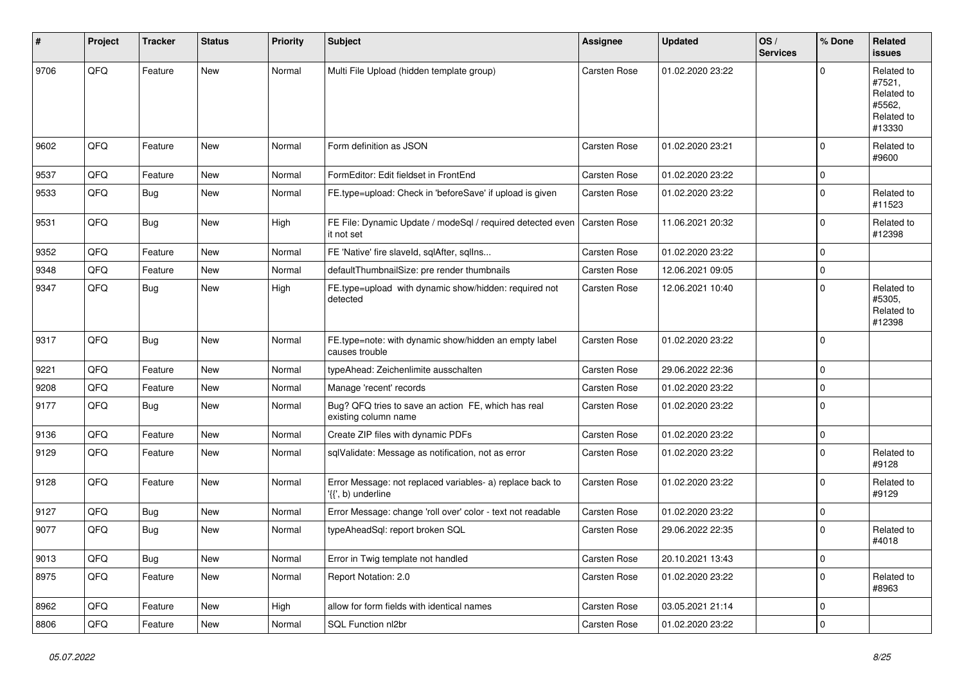| #    | Project | <b>Tracker</b> | <b>Status</b> | <b>Priority</b> | <b>Subject</b>                                                                  | <b>Assignee</b>     | <b>Updated</b>   | OS/<br><b>Services</b> | % Done      | <b>Related</b><br><b>issues</b>                                      |
|------|---------|----------------|---------------|-----------------|---------------------------------------------------------------------------------|---------------------|------------------|------------------------|-------------|----------------------------------------------------------------------|
| 9706 | QFQ     | Feature        | New           | Normal          | Multi File Upload (hidden template group)                                       | <b>Carsten Rose</b> | 01.02.2020 23:22 |                        | $\Omega$    | Related to<br>#7521,<br>Related to<br>#5562,<br>Related to<br>#13330 |
| 9602 | QFQ     | Feature        | <b>New</b>    | Normal          | Form definition as JSON                                                         | <b>Carsten Rose</b> | 01.02.2020 23:21 |                        | $\Omega$    | Related to<br>#9600                                                  |
| 9537 | QFQ     | Feature        | <b>New</b>    | Normal          | FormEditor: Edit fieldset in FrontEnd                                           | <b>Carsten Rose</b> | 01.02.2020 23:22 |                        | $\Omega$    |                                                                      |
| 9533 | QFQ     | Bug            | New           | Normal          | FE.type=upload: Check in 'beforeSave' if upload is given                        | Carsten Rose        | 01.02.2020 23:22 |                        | 0           | Related to<br>#11523                                                 |
| 9531 | QFQ     | Bug            | <b>New</b>    | High            | FE File: Dynamic Update / modeSql / required detected even<br>it not set        | Carsten Rose        | 11.06.2021 20:32 |                        | $\Omega$    | Related to<br>#12398                                                 |
| 9352 | QFQ     | Feature        | <b>New</b>    | Normal          | FE 'Native' fire slaveld, sqlAfter, sqlIns                                      | Carsten Rose        | 01.02.2020 23:22 |                        | 0           |                                                                      |
| 9348 | QFQ     | Feature        | New           | Normal          | defaultThumbnailSize: pre render thumbnails                                     | Carsten Rose        | 12.06.2021 09:05 |                        | $\Omega$    |                                                                      |
| 9347 | QFQ     | Bug            | New           | High            | FE.type=upload with dynamic show/hidden: required not<br>detected               | <b>Carsten Rose</b> | 12.06.2021 10:40 |                        | $\Omega$    | Related to<br>#5305,<br>Related to<br>#12398                         |
| 9317 | QFQ     | <b>Bug</b>     | <b>New</b>    | Normal          | FE.type=note: with dynamic show/hidden an empty label<br>causes trouble         | <b>Carsten Rose</b> | 01.02.2020 23:22 |                        | $\Omega$    |                                                                      |
| 9221 | QFQ     | Feature        | New           | Normal          | typeAhead: Zeichenlimite ausschalten                                            | Carsten Rose        | 29.06.2022 22:36 |                        | $\Omega$    |                                                                      |
| 9208 | QFQ     | Feature        | New           | Normal          | Manage 'recent' records                                                         | <b>Carsten Rose</b> | 01.02.2020 23:22 |                        | $\mathbf 0$ |                                                                      |
| 9177 | QFQ     | Bug            | New           | Normal          | Bug? QFQ tries to save an action FE, which has real<br>existing column name     | <b>Carsten Rose</b> | 01.02.2020 23:22 |                        | $\Omega$    |                                                                      |
| 9136 | QFQ     | Feature        | New           | Normal          | Create ZIP files with dynamic PDFs                                              | <b>Carsten Rose</b> | 01.02.2020 23:22 |                        | 0           |                                                                      |
| 9129 | QFQ     | Feature        | New           | Normal          | sqlValidate: Message as notification, not as error                              | Carsten Rose        | 01.02.2020 23:22 |                        | $\Omega$    | Related to<br>#9128                                                  |
| 9128 | QFQ     | Feature        | New           | Normal          | Error Message: not replaced variables- a) replace back to<br>'{{', b) underline | Carsten Rose        | 01.02.2020 23:22 |                        | $\Omega$    | Related to<br>#9129                                                  |
| 9127 | QFQ     | Bug            | <b>New</b>    | Normal          | Error Message: change 'roll over' color - text not readable                     | <b>Carsten Rose</b> | 01.02.2020 23:22 |                        | $\Omega$    |                                                                      |
| 9077 | QFQ     | Bug            | <b>New</b>    | Normal          | typeAheadSql: report broken SQL                                                 | Carsten Rose        | 29.06.2022 22:35 |                        | $\Omega$    | Related to<br>#4018                                                  |
| 9013 | QFQ     | Bug            | New           | Normal          | Error in Twig template not handled                                              | <b>Carsten Rose</b> | 20.10.2021 13:43 |                        | 0           |                                                                      |
| 8975 | QFQ     | Feature        | New           | Normal          | Report Notation: 2.0                                                            | Carsten Rose        | 01.02.2020 23:22 |                        | 0           | Related to<br>#8963                                                  |
| 8962 | QFQ     | Feature        | New           | High            | allow for form fields with identical names                                      | Carsten Rose        | 03.05.2021 21:14 |                        | 0           |                                                                      |
| 8806 | QFQ     | Feature        | New           | Normal          | SQL Function nl2br                                                              | Carsten Rose        | 01.02.2020 23:22 |                        | 0           |                                                                      |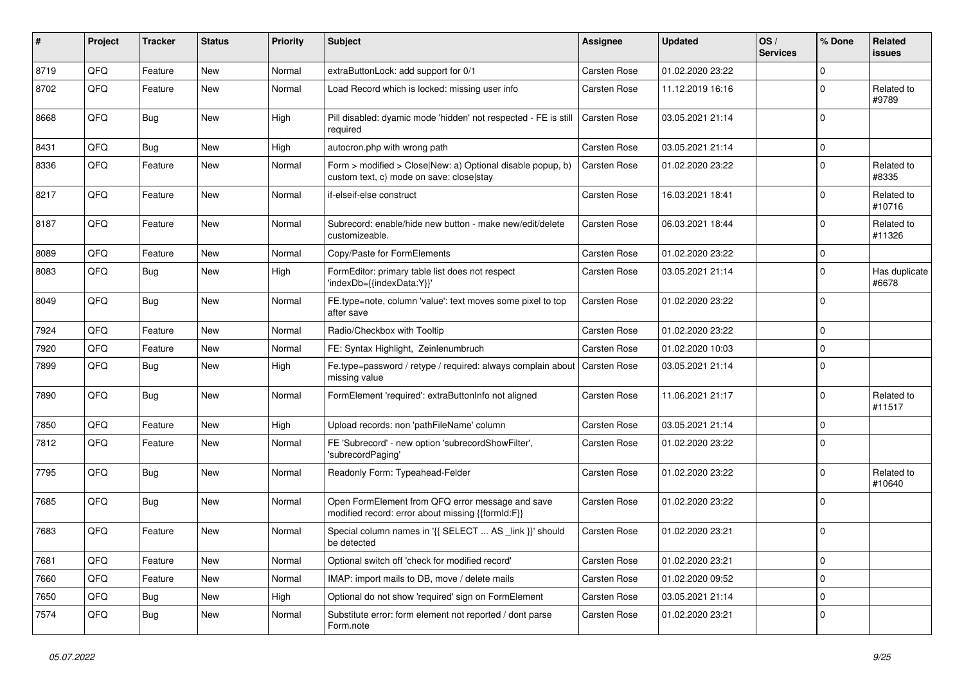| ∦    | Project | <b>Tracker</b> | <b>Status</b> | <b>Priority</b> | <b>Subject</b>                                                                                         | Assignee            | <b>Updated</b>   | OS/<br><b>Services</b> | % Done      | <b>Related</b><br><b>issues</b> |
|------|---------|----------------|---------------|-----------------|--------------------------------------------------------------------------------------------------------|---------------------|------------------|------------------------|-------------|---------------------------------|
| 8719 | QFQ     | Feature        | <b>New</b>    | Normal          | extraButtonLock: add support for 0/1                                                                   | <b>Carsten Rose</b> | 01.02.2020 23:22 |                        | $\mathbf 0$ |                                 |
| 8702 | QFQ     | Feature        | New           | Normal          | Load Record which is locked: missing user info                                                         | <b>Carsten Rose</b> | 11.12.2019 16:16 |                        | $\Omega$    | Related to<br>#9789             |
| 8668 | QFQ     | <b>Bug</b>     | New           | High            | Pill disabled: dyamic mode 'hidden' not respected - FE is still<br>required                            | <b>Carsten Rose</b> | 03.05.2021 21:14 |                        | $\Omega$    |                                 |
| 8431 | QFQ     | Bug            | New           | High            | autocron.php with wrong path                                                                           | <b>Carsten Rose</b> | 03.05.2021 21:14 |                        | $\Omega$    |                                 |
| 8336 | QFQ     | Feature        | <b>New</b>    | Normal          | Form > modified > Close New: a) Optional disable popup, b)<br>custom text, c) mode on save: close stay | <b>Carsten Rose</b> | 01.02.2020 23:22 |                        | $\mathbf 0$ | Related to<br>#8335             |
| 8217 | QFQ     | Feature        | <b>New</b>    | Normal          | if-elseif-else construct                                                                               | <b>Carsten Rose</b> | 16.03.2021 18:41 |                        | $\Omega$    | Related to<br>#10716            |
| 8187 | QFQ     | Feature        | <b>New</b>    | Normal          | Subrecord: enable/hide new button - make new/edit/delete<br>customizeable.                             | <b>Carsten Rose</b> | 06.03.2021 18:44 |                        | $\Omega$    | Related to<br>#11326            |
| 8089 | QFQ     | Feature        | <b>New</b>    | Normal          | Copy/Paste for FormElements                                                                            | <b>Carsten Rose</b> | 01.02.2020 23:22 |                        | $\mathbf 0$ |                                 |
| 8083 | QFQ     | Bug            | New           | High            | FormEditor: primary table list does not respect<br>'indexDb={{indexData:Y}}'                           | Carsten Rose        | 03.05.2021 21:14 |                        | $\Omega$    | Has duplicate<br>#6678          |
| 8049 | QFQ     | Bug            | New           | Normal          | FE.type=note, column 'value': text moves some pixel to top<br>after save                               | <b>Carsten Rose</b> | 01.02.2020 23:22 |                        | $\Omega$    |                                 |
| 7924 | QFQ     | Feature        | New           | Normal          | Radio/Checkbox with Tooltip                                                                            | <b>Carsten Rose</b> | 01.02.2020 23:22 |                        | $\Omega$    |                                 |
| 7920 | QFQ     | Feature        | New           | Normal          | FE: Syntax Highlight, Zeinlenumbruch                                                                   | <b>Carsten Rose</b> | 01.02.2020 10:03 |                        | $\Omega$    |                                 |
| 7899 | QFQ     | Bug            | <b>New</b>    | High            | Fe.type=password / retype / required: always complain about<br>missing value                           | <b>Carsten Rose</b> | 03.05.2021 21:14 |                        | $\Omega$    |                                 |
| 7890 | QFQ     | Bug            | <b>New</b>    | Normal          | FormElement 'required': extraButtonInfo not aligned                                                    | <b>Carsten Rose</b> | 11.06.2021 21:17 |                        | $\Omega$    | Related to<br>#11517            |
| 7850 | QFQ     | Feature        | <b>New</b>    | High            | Upload records: non 'pathFileName' column                                                              | <b>Carsten Rose</b> | 03.05.2021 21:14 |                        | $\Omega$    |                                 |
| 7812 | QFQ     | Feature        | New           | Normal          | FE 'Subrecord' - new option 'subrecordShowFilter',<br>'subrecordPaging'                                | <b>Carsten Rose</b> | 01.02.2020 23:22 |                        | $\Omega$    |                                 |
| 7795 | QFQ     | Bug            | <b>New</b>    | Normal          | Readonly Form: Typeahead-Felder                                                                        | Carsten Rose        | 01.02.2020 23:22 |                        | $\Omega$    | Related to<br>#10640            |
| 7685 | QFQ     | Bug            | New           | Normal          | Open FormElement from QFQ error message and save<br>modified record: error about missing {{formId:F}}  | <b>Carsten Rose</b> | 01.02.2020 23:22 |                        | $\Omega$    |                                 |
| 7683 | QFQ     | Feature        | New           | Normal          | Special column names in '{{ SELECT  AS link }}' should<br>be detected                                  | <b>Carsten Rose</b> | 01.02.2020 23:21 |                        | $\Omega$    |                                 |
| 7681 | QFQ     | Feature        | New           | Normal          | Optional switch off 'check for modified record'                                                        | Carsten Rose        | 01.02.2020 23:21 |                        | 0           |                                 |
| 7660 | QFQ     | Feature        | New           | Normal          | IMAP: import mails to DB, move / delete mails                                                          | Carsten Rose        | 01.02.2020 09:52 |                        | 0           |                                 |
| 7650 | QFQ     | <b>Bug</b>     | New           | High            | Optional do not show 'required' sign on FormElement                                                    | Carsten Rose        | 03.05.2021 21:14 |                        | $\mathbf 0$ |                                 |
| 7574 | QFQ     | Bug            | New           | Normal          | Substitute error: form element not reported / dont parse<br>Form.note                                  | Carsten Rose        | 01.02.2020 23:21 |                        | $\mathbf 0$ |                                 |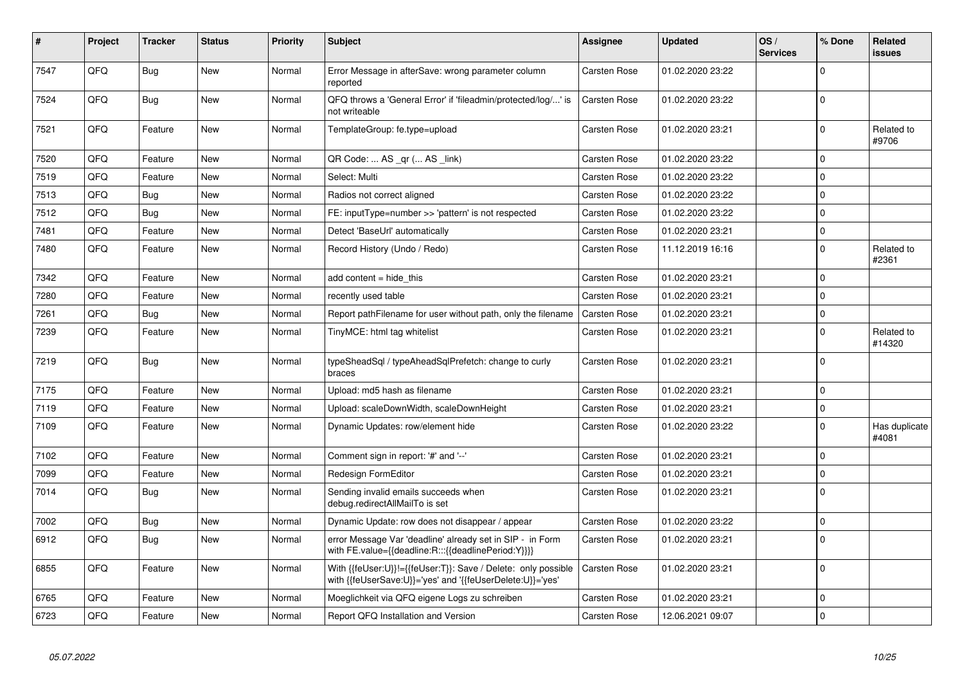| $\pmb{\#}$ | Project | <b>Tracker</b> | <b>Status</b> | <b>Priority</b> | <b>Subject</b>                                                                                                             | Assignee            | <b>Updated</b>   | OS/<br><b>Services</b> | % Done      | <b>Related</b><br><b>issues</b> |
|------------|---------|----------------|---------------|-----------------|----------------------------------------------------------------------------------------------------------------------------|---------------------|------------------|------------------------|-------------|---------------------------------|
| 7547       | QFQ     | <b>Bug</b>     | <b>New</b>    | Normal          | Error Message in afterSave: wrong parameter column<br>reported                                                             | Carsten Rose        | 01.02.2020 23:22 |                        | $\Omega$    |                                 |
| 7524       | QFQ     | Bug            | <b>New</b>    | Normal          | QFQ throws a 'General Error' if 'fileadmin/protected/log/' is<br>not writeable                                             | Carsten Rose        | 01.02.2020 23:22 |                        | $\Omega$    |                                 |
| 7521       | QFQ     | Feature        | <b>New</b>    | Normal          | TemplateGroup: fe.type=upload                                                                                              | Carsten Rose        | 01.02.2020 23:21 |                        | $\mathbf 0$ | Related to<br>#9706             |
| 7520       | QFQ     | Feature        | <b>New</b>    | Normal          | QR Code:  AS _qr ( AS _link)                                                                                               | Carsten Rose        | 01.02.2020 23:22 |                        | $\mathbf 0$ |                                 |
| 7519       | QFQ     | Feature        | <b>New</b>    | Normal          | Select: Multi                                                                                                              | Carsten Rose        | 01.02.2020 23:22 |                        | $\mathbf 0$ |                                 |
| 7513       | QFQ     | Bug            | <b>New</b>    | Normal          | Radios not correct aligned                                                                                                 | Carsten Rose        | 01.02.2020 23:22 |                        | $\Omega$    |                                 |
| 7512       | QFQ     | Bug            | <b>New</b>    | Normal          | FE: inputType=number >> 'pattern' is not respected                                                                         | Carsten Rose        | 01.02.2020 23:22 |                        | $\mathbf 0$ |                                 |
| 7481       | QFQ     | Feature        | New           | Normal          | Detect 'BaseUrl' automatically                                                                                             | Carsten Rose        | 01.02.2020 23:21 |                        | $\mathbf 0$ |                                 |
| 7480       | QFQ     | Feature        | New           | Normal          | Record History (Undo / Redo)                                                                                               | Carsten Rose        | 11.12.2019 16:16 |                        | $\mathbf 0$ | Related to<br>#2361             |
| 7342       | QFQ     | Feature        | <b>New</b>    | Normal          | add content = hide this                                                                                                    | Carsten Rose        | 01.02.2020 23:21 |                        | $\Omega$    |                                 |
| 7280       | QFQ     | Feature        | <b>New</b>    | Normal          | recently used table                                                                                                        | Carsten Rose        | 01.02.2020 23:21 |                        | $\Omega$    |                                 |
| 7261       | QFQ     | Bug            | <b>New</b>    | Normal          | Report pathFilename for user without path, only the filename                                                               | <b>Carsten Rose</b> | 01.02.2020 23:21 |                        | $\mathbf 0$ |                                 |
| 7239       | QFQ     | Feature        | New           | Normal          | TinyMCE: html tag whitelist                                                                                                | Carsten Rose        | 01.02.2020 23:21 |                        | $\mathbf 0$ | Related to<br>#14320            |
| 7219       | QFQ     | Bug            | <b>New</b>    | Normal          | typeSheadSql / typeAheadSqlPrefetch: change to curly<br>braces                                                             | Carsten Rose        | 01.02.2020 23:21 |                        | $\Omega$    |                                 |
| 7175       | QFQ     | Feature        | <b>New</b>    | Normal          | Upload: md5 hash as filename                                                                                               | Carsten Rose        | 01.02.2020 23:21 |                        | $\Omega$    |                                 |
| 7119       | QFQ     | Feature        | <b>New</b>    | Normal          | Upload: scaleDownWidth, scaleDownHeight                                                                                    | Carsten Rose        | 01.02.2020 23:21 |                        | $\mathbf 0$ |                                 |
| 7109       | QFQ     | Feature        | New           | Normal          | Dynamic Updates: row/element hide                                                                                          | Carsten Rose        | 01.02.2020 23:22 |                        | $\Omega$    | Has duplicate<br>#4081          |
| 7102       | QFQ     | Feature        | <b>New</b>    | Normal          | Comment sign in report: '#' and '--'                                                                                       | Carsten Rose        | 01.02.2020 23:21 |                        | $\mathbf 0$ |                                 |
| 7099       | QFQ     | Feature        | <b>New</b>    | Normal          | <b>Redesign FormEditor</b>                                                                                                 | Carsten Rose        | 01.02.2020 23:21 |                        | $\mathbf 0$ |                                 |
| 7014       | QFQ     | <b>Bug</b>     | <b>New</b>    | Normal          | Sending invalid emails succeeds when<br>debug.redirectAllMailTo is set                                                     | Carsten Rose        | 01.02.2020 23:21 |                        | $\mathbf 0$ |                                 |
| 7002       | QFQ     | Bug            | <b>New</b>    | Normal          | Dynamic Update: row does not disappear / appear                                                                            | Carsten Rose        | 01.02.2020 23:22 |                        | $\mathbf 0$ |                                 |
| 6912       | QFQ     | Bug            | <b>New</b>    | Normal          | error Message Var 'deadline' already set in SIP - in Form<br>with FE.value={{deadline:R:::{{deadlinePeriod:Y}}}}           | Carsten Rose        | 01.02.2020 23:21 |                        | $\Omega$    |                                 |
| 6855       | QFQ     | Feature        | <b>New</b>    | Normal          | With {{feUser:U}}!={{feUser:T}}: Save / Delete: only possible<br>with {{feUserSave:U}}='yes' and '{{feUserDelete:U}}='yes' | Carsten Rose        | 01.02.2020 23:21 |                        | $\mathbf 0$ |                                 |
| 6765       | QFQ     | Feature        | <b>New</b>    | Normal          | Moeglichkeit via QFQ eigene Logs zu schreiben                                                                              | Carsten Rose        | 01.02.2020 23:21 |                        | $\mathbf 0$ |                                 |
| 6723       | QFQ     | Feature        | New           | Normal          | Report QFQ Installation and Version                                                                                        | Carsten Rose        | 12.06.2021 09:07 |                        | $\mathbf 0$ |                                 |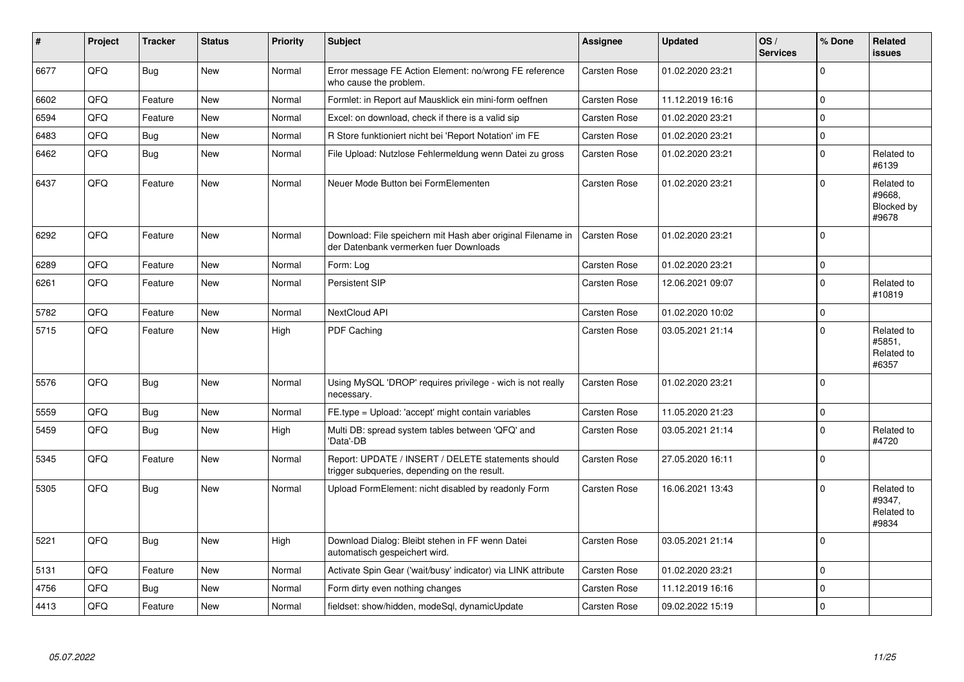| $\sharp$ | Project | <b>Tracker</b> | <b>Status</b> | <b>Priority</b> | <b>Subject</b>                                                                                        | Assignee            | <b>Updated</b>   | OS/<br><b>Services</b> | % Done   | Related<br><b>issues</b>                    |
|----------|---------|----------------|---------------|-----------------|-------------------------------------------------------------------------------------------------------|---------------------|------------------|------------------------|----------|---------------------------------------------|
| 6677     | QFQ     | <b>Bug</b>     | <b>New</b>    | Normal          | Error message FE Action Element: no/wrong FE reference<br>who cause the problem.                      | Carsten Rose        | 01.02.2020 23:21 |                        | $\Omega$ |                                             |
| 6602     | QFQ     | Feature        | <b>New</b>    | Normal          | Formlet: in Report auf Mausklick ein mini-form oeffnen                                                | Carsten Rose        | 11.12.2019 16:16 |                        | $\Omega$ |                                             |
| 6594     | QFQ     | Feature        | <b>New</b>    | Normal          | Excel: on download, check if there is a valid sip                                                     | <b>Carsten Rose</b> | 01.02.2020 23:21 |                        | $\Omega$ |                                             |
| 6483     | QFQ     | Bug            | <b>New</b>    | Normal          | R Store funktioniert nicht bei 'Report Notation' im FE                                                | <b>Carsten Rose</b> | 01.02.2020 23:21 |                        | 0        |                                             |
| 6462     | QFQ     | <b>Bug</b>     | New           | Normal          | File Upload: Nutzlose Fehlermeldung wenn Datei zu gross                                               | <b>Carsten Rose</b> | 01.02.2020 23:21 |                        | $\Omega$ | Related to<br>#6139                         |
| 6437     | QFQ     | Feature        | <b>New</b>    | Normal          | Neuer Mode Button bei FormElementen                                                                   | Carsten Rose        | 01.02.2020 23:21 |                        | $\Omega$ | Related to<br>#9668,<br>Blocked by<br>#9678 |
| 6292     | QFQ     | Feature        | <b>New</b>    | Normal          | Download: File speichern mit Hash aber original Filename in<br>der Datenbank vermerken fuer Downloads | <b>Carsten Rose</b> | 01.02.2020 23:21 |                        | $\Omega$ |                                             |
| 6289     | QFQ     | Feature        | <b>New</b>    | Normal          | Form: Log                                                                                             | <b>Carsten Rose</b> | 01.02.2020 23:21 |                        | $\Omega$ |                                             |
| 6261     | QFQ     | Feature        | New           | Normal          | Persistent SIP                                                                                        | <b>Carsten Rose</b> | 12.06.2021 09:07 |                        | $\Omega$ | Related to<br>#10819                        |
| 5782     | QFQ     | Feature        | <b>New</b>    | Normal          | NextCloud API                                                                                         | Carsten Rose        | 01.02.2020 10:02 |                        | 0        |                                             |
| 5715     | QFQ     | Feature        | New           | High            | PDF Caching                                                                                           | Carsten Rose        | 03.05.2021 21:14 |                        | $\Omega$ | Related to<br>#5851,<br>Related to<br>#6357 |
| 5576     | QFQ     | Bug            | <b>New</b>    | Normal          | Using MySQL 'DROP' requires privilege - wich is not really<br>necessary.                              | Carsten Rose        | 01.02.2020 23:21 |                        | $\Omega$ |                                             |
| 5559     | QFQ     | Bug            | <b>New</b>    | Normal          | FE.type = Upload: 'accept' might contain variables                                                    | <b>Carsten Rose</b> | 11.05.2020 21:23 |                        | $\Omega$ |                                             |
| 5459     | QFQ     | <b>Bug</b>     | <b>New</b>    | High            | Multi DB: spread system tables between 'QFQ' and<br>'Data'-DB                                         | <b>Carsten Rose</b> | 03.05.2021 21:14 |                        | $\Omega$ | Related to<br>#4720                         |
| 5345     | QFQ     | Feature        | <b>New</b>    | Normal          | Report: UPDATE / INSERT / DELETE statements should<br>trigger subqueries, depending on the result.    | <b>Carsten Rose</b> | 27.05.2020 16:11 |                        | $\Omega$ |                                             |
| 5305     | QFQ     | Bug            | <b>New</b>    | Normal          | Upload FormElement: nicht disabled by readonly Form                                                   | <b>Carsten Rose</b> | 16.06.2021 13:43 |                        | $\Omega$ | Related to<br>#9347,<br>Related to<br>#9834 |
| 5221     | QFQ     | Bug            | New           | High            | Download Dialog: Bleibt stehen in FF wenn Datei<br>automatisch gespeichert wird.                      | Carsten Rose        | 03.05.2021 21:14 |                        | $\Omega$ |                                             |
| 5131     | QFQ     | Feature        | New           | Normal          | Activate Spin Gear ('wait/busy' indicator) via LINK attribute                                         | Carsten Rose        | 01.02.2020 23:21 |                        | $\Omega$ |                                             |
| 4756     | QFQ     | <b>Bug</b>     | New           | Normal          | Form dirty even nothing changes                                                                       | <b>Carsten Rose</b> | 11.12.2019 16:16 |                        | $\Omega$ |                                             |
| 4413     | QFQ     | Feature        | <b>New</b>    | Normal          | fieldset: show/hidden, modeSql, dynamicUpdate                                                         | <b>Carsten Rose</b> | 09.02.2022 15:19 |                        | $\Omega$ |                                             |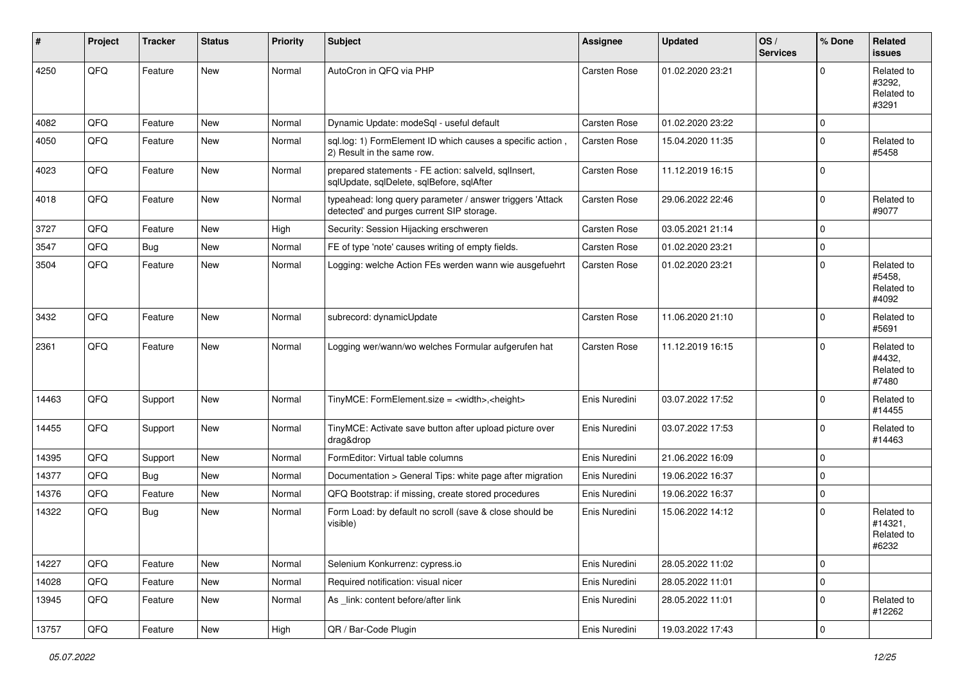| #     | Project | <b>Tracker</b> | <b>Status</b> | <b>Priority</b> | Subject                                                                                                | Assignee            | <b>Updated</b>   | OS/<br><b>Services</b> | % Done    | Related<br><b>issues</b>                     |
|-------|---------|----------------|---------------|-----------------|--------------------------------------------------------------------------------------------------------|---------------------|------------------|------------------------|-----------|----------------------------------------------|
| 4250  | QFQ     | Feature        | New           | Normal          | AutoCron in QFQ via PHP                                                                                | <b>Carsten Rose</b> | 01.02.2020 23:21 |                        | $\Omega$  | Related to<br>#3292,<br>Related to<br>#3291  |
| 4082  | QFQ     | Feature        | <b>New</b>    | Normal          | Dynamic Update: modeSql - useful default                                                               | <b>Carsten Rose</b> | 01.02.2020 23:22 |                        | $\Omega$  |                                              |
| 4050  | QFQ     | Feature        | New           | Normal          | sql.log: 1) FormElement ID which causes a specific action,<br>2) Result in the same row.               | Carsten Rose        | 15.04.2020 11:35 |                        | $\Omega$  | Related to<br>#5458                          |
| 4023  | QFQ     | Feature        | New           | Normal          | prepared statements - FE action: salveld, sqlInsert,<br>sqlUpdate, sqlDelete, sqlBefore, sqlAfter      | <b>Carsten Rose</b> | 11.12.2019 16:15 |                        | $\Omega$  |                                              |
| 4018  | QFQ     | Feature        | <b>New</b>    | Normal          | typeahead: long query parameter / answer triggers 'Attack<br>detected' and purges current SIP storage. | <b>Carsten Rose</b> | 29.06.2022 22:46 |                        | $\Omega$  | Related to<br>#9077                          |
| 3727  | QFQ     | Feature        | <b>New</b>    | High            | Security: Session Hijacking erschweren                                                                 | <b>Carsten Rose</b> | 03.05.2021 21:14 |                        | $\Omega$  |                                              |
| 3547  | QFQ     | Bug            | New           | Normal          | FE of type 'note' causes writing of empty fields.                                                      | <b>Carsten Rose</b> | 01.02.2020 23:21 |                        | $\Omega$  |                                              |
| 3504  | QFQ     | Feature        | New           | Normal          | Logging: welche Action FEs werden wann wie ausgefuehrt                                                 | <b>Carsten Rose</b> | 01.02.2020 23:21 |                        | $\Omega$  | Related to<br>#5458,<br>Related to<br>#4092  |
| 3432  | QFQ     | Feature        | New           | Normal          | subrecord: dynamicUpdate                                                                               | <b>Carsten Rose</b> | 11.06.2020 21:10 |                        | $\Omega$  | Related to<br>#5691                          |
| 2361  | QFQ     | Feature        | New           | Normal          | Logging wer/wann/wo welches Formular aufgerufen hat                                                    | <b>Carsten Rose</b> | 11.12.2019 16:15 |                        | $\Omega$  | Related to<br>#4432,<br>Related to<br>#7480  |
| 14463 | QFQ     | Support        | New           | Normal          | TinyMCE: FormElement.size = <width>,<height></height></width>                                          | Enis Nuredini       | 03.07.2022 17:52 |                        | $\Omega$  | Related to<br>#14455                         |
| 14455 | QFQ     | Support        | <b>New</b>    | Normal          | TinyMCE: Activate save button after upload picture over<br>drag&drop                                   | Enis Nuredini       | 03.07.2022 17:53 |                        | $\Omega$  | Related to<br>#14463                         |
| 14395 | QFQ     | Support        | New           | Normal          | FormEditor: Virtual table columns                                                                      | Enis Nuredini       | 21.06.2022 16:09 |                        | $\Omega$  |                                              |
| 14377 | QFQ     | Bug            | New           | Normal          | Documentation > General Tips: white page after migration                                               | Enis Nuredini       | 19.06.2022 16:37 |                        | $\Omega$  |                                              |
| 14376 | QFQ     | Feature        | New           | Normal          | QFQ Bootstrap: if missing, create stored procedures                                                    | Enis Nuredini       | 19.06.2022 16:37 |                        | $\Omega$  |                                              |
| 14322 | QFQ     | <b>Bug</b>     | New           | Normal          | Form Load: by default no scroll (save & close should be<br>visible)                                    | Enis Nuredini       | 15.06.2022 14:12 |                        | $\Omega$  | Related to<br>#14321,<br>Related to<br>#6232 |
| 14227 | QFQ     | Feature        | <b>New</b>    | Normal          | Selenium Konkurrenz: cypress.io                                                                        | Enis Nuredini       | 28.05.2022 11:02 |                        | 0         |                                              |
| 14028 | QFQ     | Feature        | New           | Normal          | Required notification: visual nicer                                                                    | Enis Nuredini       | 28.05.2022 11:01 |                        | 0         |                                              |
| 13945 | QFQ     | Feature        | New           | Normal          | As _link: content before/after link                                                                    | Enis Nuredini       | 28.05.2022 11:01 |                        | 0         | Related to<br>#12262                         |
| 13757 | QFQ     | Feature        | New           | High            | QR / Bar-Code Plugin                                                                                   | Enis Nuredini       | 19.03.2022 17:43 |                        | $\pmb{0}$ |                                              |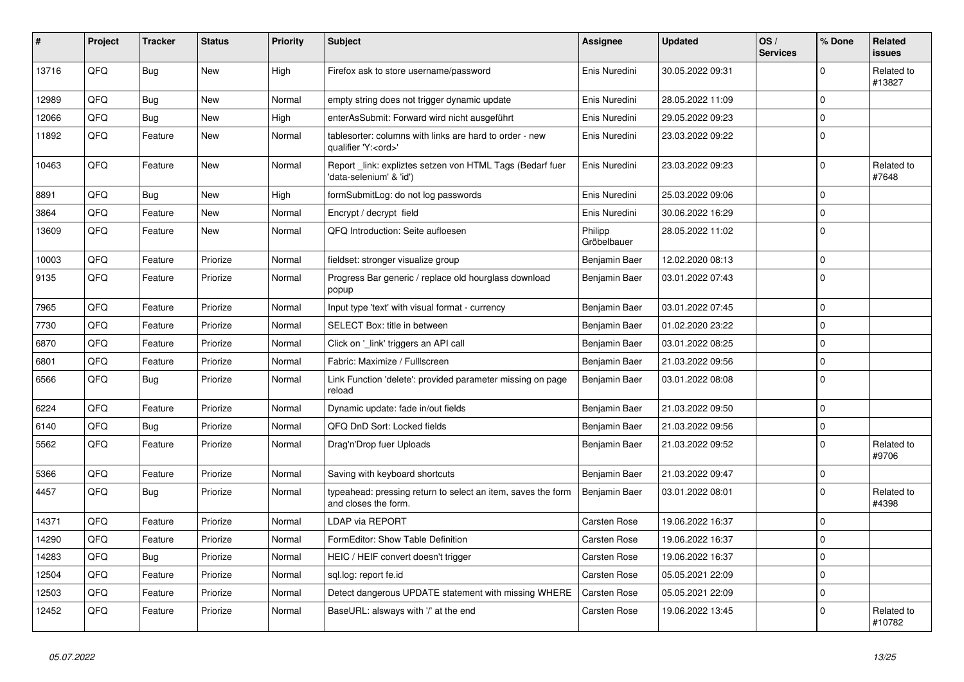| ∦     | Project | <b>Tracker</b> | <b>Status</b> | <b>Priority</b> | <b>Subject</b>                                                                        | <b>Assignee</b>        | <b>Updated</b>   | OS/<br><b>Services</b> | % Done      | <b>Related</b><br><b>issues</b> |
|-------|---------|----------------|---------------|-----------------|---------------------------------------------------------------------------------------|------------------------|------------------|------------------------|-------------|---------------------------------|
| 13716 | QFQ     | Bug            | New           | High            | Firefox ask to store username/password                                                | Enis Nuredini          | 30.05.2022 09:31 |                        | $\mathbf 0$ | Related to<br>#13827            |
| 12989 | QFQ     | <b>Bug</b>     | <b>New</b>    | Normal          | empty string does not trigger dynamic update                                          | Enis Nuredini          | 28.05.2022 11:09 |                        | $\Omega$    |                                 |
| 12066 | QFQ     | Bug            | <b>New</b>    | High            | enterAsSubmit: Forward wird nicht ausgeführt                                          | Enis Nuredini          | 29.05.2022 09:23 |                        | $\Omega$    |                                 |
| 11892 | QFQ     | Feature        | New           | Normal          | tablesorter: columns with links are hard to order - new<br>qualifier 'Y: <ord>'</ord> | Enis Nuredini          | 23.03.2022 09:22 |                        | $\Omega$    |                                 |
| 10463 | QFQ     | Feature        | New           | Normal          | Report _link: expliztes setzen von HTML Tags (Bedarf fuer<br>'data-selenium' & 'id')  | Enis Nuredini          | 23.03.2022 09:23 |                        | $\mathbf 0$ | Related to<br>#7648             |
| 8891  | QFQ     | <b>Bug</b>     | <b>New</b>    | High            | formSubmitLog: do not log passwords                                                   | Enis Nuredini          | 25.03.2022 09:06 |                        | $\mathbf 0$ |                                 |
| 3864  | QFQ     | Feature        | <b>New</b>    | Normal          | Encrypt / decrypt field                                                               | Enis Nuredini          | 30.06.2022 16:29 |                        | $\Omega$    |                                 |
| 13609 | QFQ     | Feature        | New           | Normal          | QFQ Introduction: Seite aufloesen                                                     | Philipp<br>Gröbelbauer | 28.05.2022 11:02 |                        | $\mathbf 0$ |                                 |
| 10003 | QFQ     | Feature        | Priorize      | Normal          | fieldset: stronger visualize group                                                    | Benjamin Baer          | 12.02.2020 08:13 |                        | $\mathbf 0$ |                                 |
| 9135  | QFQ     | Feature        | Priorize      | Normal          | Progress Bar generic / replace old hourglass download<br>popup                        | Benjamin Baer          | 03.01.2022 07:43 |                        | $\Omega$    |                                 |
| 7965  | QFQ     | Feature        | Priorize      | Normal          | Input type 'text' with visual format - currency                                       | Benjamin Baer          | 03.01.2022 07:45 |                        | $\mathbf 0$ |                                 |
| 7730  | QFQ     | Feature        | Priorize      | Normal          | SELECT Box: title in between                                                          | Benjamin Baer          | 01.02.2020 23:22 |                        | $\Omega$    |                                 |
| 6870  | QFQ     | Feature        | Priorize      | Normal          | Click on '_link' triggers an API call                                                 | Benjamin Baer          | 03.01.2022 08:25 |                        | $\mathbf 0$ |                                 |
| 6801  | QFQ     | Feature        | Priorize      | Normal          | Fabric: Maximize / FullIscreen                                                        | Benjamin Baer          | 21.03.2022 09:56 |                        | $\mathbf 0$ |                                 |
| 6566  | QFQ     | Bug            | Priorize      | Normal          | Link Function 'delete': provided parameter missing on page<br>reload                  | Benjamin Baer          | 03.01.2022 08:08 |                        | $\mathbf 0$ |                                 |
| 6224  | QFQ     | Feature        | Priorize      | Normal          | Dynamic update: fade in/out fields                                                    | Benjamin Baer          | 21.03.2022 09:50 |                        | $\mathbf 0$ |                                 |
| 6140  | QFQ     | <b>Bug</b>     | Priorize      | Normal          | QFQ DnD Sort: Locked fields                                                           | Benjamin Baer          | 21.03.2022 09:56 |                        | $\mathbf 0$ |                                 |
| 5562  | QFQ     | Feature        | Priorize      | Normal          | Drag'n'Drop fuer Uploads                                                              | Benjamin Baer          | 21.03.2022 09:52 |                        | $\Omega$    | Related to<br>#9706             |
| 5366  | QFQ     | Feature        | Priorize      | Normal          | Saving with keyboard shortcuts                                                        | Benjamin Baer          | 21.03.2022 09:47 |                        | $\mathbf 0$ |                                 |
| 4457  | QFQ     | <b>Bug</b>     | Priorize      | Normal          | typeahead: pressing return to select an item, saves the form<br>and closes the form.  | Benjamin Baer          | 03.01.2022 08:01 |                        | $\mathbf 0$ | Related to<br>#4398             |
| 14371 | QFQ     | Feature        | Priorize      | Normal          | LDAP via REPORT                                                                       | Carsten Rose           | 19.06.2022 16:37 |                        | $\mathbf 0$ |                                 |
| 14290 | QFQ     | Feature        | Priorize      | Normal          | FormEditor: Show Table Definition                                                     | Carsten Rose           | 19.06.2022 16:37 |                        | $\mathbf 0$ |                                 |
| 14283 | QFQ     | <b>Bug</b>     | Priorize      | Normal          | HEIC / HEIF convert doesn't trigger                                                   | Carsten Rose           | 19.06.2022 16:37 |                        | $\mathbf 0$ |                                 |
| 12504 | QFQ     | Feature        | Priorize      | Normal          | sql.log: report fe.id                                                                 | Carsten Rose           | 05.05.2021 22:09 |                        | $\mathbf 0$ |                                 |
| 12503 | QFQ     | Feature        | Priorize      | Normal          | Detect dangerous UPDATE statement with missing WHERE                                  | Carsten Rose           | 05.05.2021 22:09 |                        | $\mathbf 0$ |                                 |
| 12452 | QFQ     | Feature        | Priorize      | Normal          | BaseURL: alsways with '/' at the end                                                  | Carsten Rose           | 19.06.2022 13:45 |                        | $\Omega$    | Related to<br>#10782            |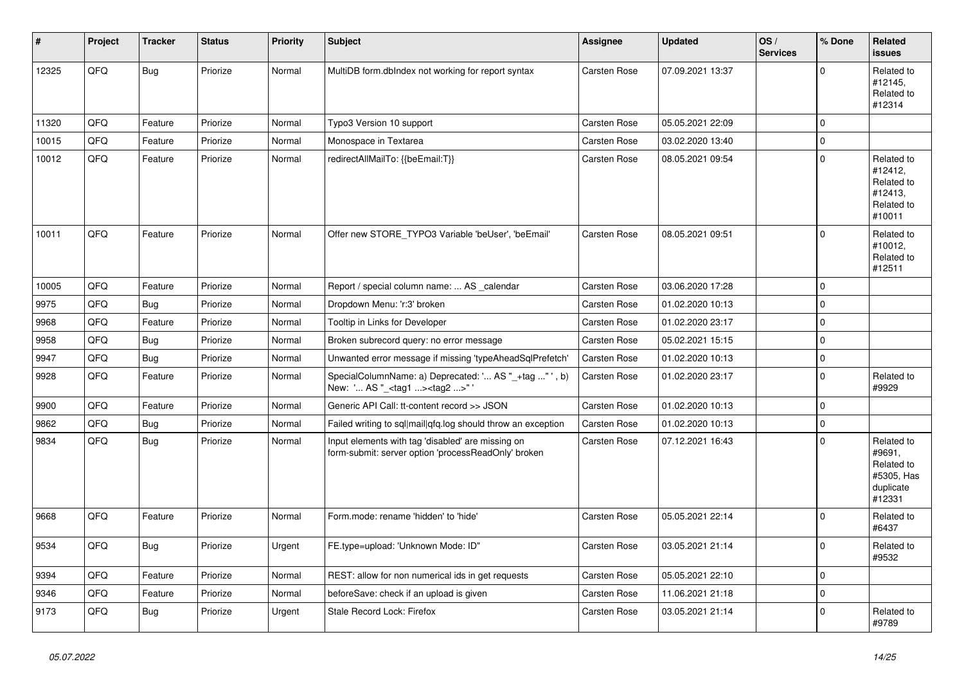| #     | Project | <b>Tracker</b> | <b>Status</b> | Priority | <b>Subject</b>                                                                                           | <b>Assignee</b>     | <b>Updated</b>   | OS/<br><b>Services</b> | % Done      | <b>Related</b><br>issues                                                |
|-------|---------|----------------|---------------|----------|----------------------------------------------------------------------------------------------------------|---------------------|------------------|------------------------|-------------|-------------------------------------------------------------------------|
| 12325 | QFQ     | Bug            | Priorize      | Normal   | MultiDB form.dblndex not working for report syntax                                                       | Carsten Rose        | 07.09.2021 13:37 |                        | $\Omega$    | Related to<br>#12145,<br>Related to<br>#12314                           |
| 11320 | QFQ     | Feature        | Priorize      | Normal   | Typo3 Version 10 support                                                                                 | Carsten Rose        | 05.05.2021 22:09 |                        | $\Omega$    |                                                                         |
| 10015 | QFQ     | Feature        | Priorize      | Normal   | Monospace in Textarea                                                                                    | <b>Carsten Rose</b> | 03.02.2020 13:40 |                        | $\Omega$    |                                                                         |
| 10012 | QFQ     | Feature        | Priorize      | Normal   | redirectAllMailTo: {{beEmail:T}}                                                                         | Carsten Rose        | 08.05.2021 09:54 |                        | $\Omega$    | Related to<br>#12412.<br>Related to<br>#12413,<br>Related to<br>#10011  |
| 10011 | QFQ     | Feature        | Priorize      | Normal   | Offer new STORE_TYPO3 Variable 'beUser', 'beEmail'                                                       | Carsten Rose        | 08.05.2021 09:51 |                        | 0           | Related to<br>#10012.<br>Related to<br>#12511                           |
| 10005 | QFQ     | Feature        | Priorize      | Normal   | Report / special column name:  AS calendar                                                               | Carsten Rose        | 03.06.2020 17:28 |                        | $\Omega$    |                                                                         |
| 9975  | QFQ     | <b>Bug</b>     | Priorize      | Normal   | Dropdown Menu: 'r:3' broken                                                                              | Carsten Rose        | 01.02.2020 10:13 |                        | $\Omega$    |                                                                         |
| 9968  | QFQ     | Feature        | Priorize      | Normal   | Tooltip in Links for Developer                                                                           | Carsten Rose        | 01.02.2020 23:17 |                        | $\mathbf 0$ |                                                                         |
| 9958  | QFQ     | <b>Bug</b>     | Priorize      | Normal   | Broken subrecord query: no error message                                                                 | <b>Carsten Rose</b> | 05.02.2021 15:15 |                        | $\Omega$    |                                                                         |
| 9947  | QFQ     | Bug            | Priorize      | Normal   | Unwanted error message if missing 'typeAheadSqlPrefetch'                                                 | <b>Carsten Rose</b> | 01.02.2020 10:13 |                        | 0           |                                                                         |
| 9928  | QFQ     | Feature        | Priorize      | Normal   | SpecialColumnName: a) Deprecated: ' AS "_+tag " ', b)<br>New: ' AS "_ <tag1><tag2>"'</tag2></tag1>       | <b>Carsten Rose</b> | 01.02.2020 23:17 |                        | $\Omega$    | Related to<br>#9929                                                     |
| 9900  | QFQ     | Feature        | Priorize      | Normal   | Generic API Call: tt-content record >> JSON                                                              | Carsten Rose        | 01.02.2020 10:13 |                        | 0           |                                                                         |
| 9862  | QFQ     | <b>Bug</b>     | Priorize      | Normal   | Failed writing to sql mail qfq.log should throw an exception                                             | Carsten Rose        | 01.02.2020 10:13 |                        | $\Omega$    |                                                                         |
| 9834  | QFQ     | Bug            | Priorize      | Normal   | Input elements with tag 'disabled' are missing on<br>form-submit: server option 'processReadOnly' broken | <b>Carsten Rose</b> | 07.12.2021 16:43 |                        | $\Omega$    | Related to<br>#9691,<br>Related to<br>#5305, Has<br>duplicate<br>#12331 |
| 9668  | QFQ     | Feature        | Priorize      | Normal   | Form.mode: rename 'hidden' to 'hide'                                                                     | Carsten Rose        | 05.05.2021 22:14 |                        | $\Omega$    | Related to<br>#6437                                                     |
| 9534  | QFQ     | Bug            | Priorize      | Urgent   | FE.type=upload: 'Unknown Mode: ID"                                                                       | Carsten Rose        | 03.05.2021 21:14 |                        | $\Omega$    | Related to<br>#9532                                                     |
| 9394  | QFQ     | Feature        | Priorize      | Normal   | REST: allow for non numerical ids in get requests                                                        | <b>Carsten Rose</b> | 05.05.2021 22:10 |                        | $\Omega$    |                                                                         |
| 9346  | QFQ     | Feature        | Priorize      | Normal   | beforeSave: check if an upload is given                                                                  | Carsten Rose        | 11.06.2021 21:18 |                        | 0           |                                                                         |
| 9173  | QFQ     | Bug            | Priorize      | Urgent   | Stale Record Lock: Firefox                                                                               | Carsten Rose        | 03.05.2021 21:14 |                        | $\mathbf 0$ | Related to<br>#9789                                                     |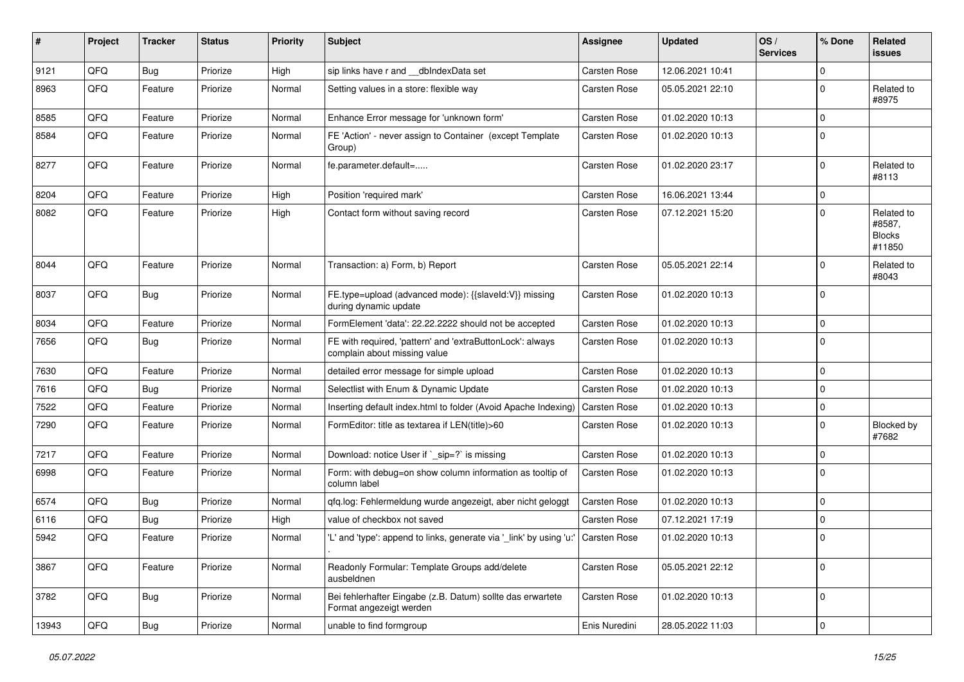| #     | Project | <b>Tracker</b> | <b>Status</b> | <b>Priority</b> | <b>Subject</b>                                                                            | <b>Assignee</b>     | <b>Updated</b>   | OS/<br><b>Services</b> | % Done      | <b>Related</b><br>issues                        |
|-------|---------|----------------|---------------|-----------------|-------------------------------------------------------------------------------------------|---------------------|------------------|------------------------|-------------|-------------------------------------------------|
| 9121  | QFQ     | Bug            | Priorize      | High            | sip links have r and __dbIndexData set                                                    | <b>Carsten Rose</b> | 12.06.2021 10:41 |                        | $\mathbf 0$ |                                                 |
| 8963  | QFQ     | Feature        | Priorize      | Normal          | Setting values in a store: flexible way                                                   | <b>Carsten Rose</b> | 05.05.2021 22:10 |                        | $\mathbf 0$ | Related to<br>#8975                             |
| 8585  | QFQ     | Feature        | Priorize      | Normal          | Enhance Error message for 'unknown form'                                                  | <b>Carsten Rose</b> | 01.02.2020 10:13 |                        | $\mathbf 0$ |                                                 |
| 8584  | QFQ     | Feature        | Priorize      | Normal          | FE 'Action' - never assign to Container (except Template<br>Group)                        | <b>Carsten Rose</b> | 01.02.2020 10:13 |                        | $\mathbf 0$ |                                                 |
| 8277  | QFQ     | Feature        | Priorize      | Normal          | fe.parameter.default=                                                                     | Carsten Rose        | 01.02.2020 23:17 |                        | $\mathbf 0$ | Related to<br>#8113                             |
| 8204  | QFQ     | Feature        | Priorize      | High            | Position 'required mark'                                                                  | <b>Carsten Rose</b> | 16.06.2021 13:44 |                        | $\mathbf 0$ |                                                 |
| 8082  | QFQ     | Feature        | Priorize      | High            | Contact form without saving record                                                        | <b>Carsten Rose</b> | 07.12.2021 15:20 |                        | $\Omega$    | Related to<br>#8587,<br><b>Blocks</b><br>#11850 |
| 8044  | QFQ     | Feature        | Priorize      | Normal          | Transaction: a) Form, b) Report                                                           | <b>Carsten Rose</b> | 05.05.2021 22:14 |                        | $\Omega$    | Related to<br>#8043                             |
| 8037  | QFQ     | <b>Bug</b>     | Priorize      | Normal          | FE.type=upload (advanced mode): {{slaveld:V}} missing<br>during dynamic update            | <b>Carsten Rose</b> | 01.02.2020 10:13 |                        | $\Omega$    |                                                 |
| 8034  | QFQ     | Feature        | Priorize      | Normal          | FormElement 'data': 22.22.2222 should not be accepted                                     | <b>Carsten Rose</b> | 01.02.2020 10:13 |                        | $\mathbf 0$ |                                                 |
| 7656  | QFQ     | Bug            | Priorize      | Normal          | FE with required, 'pattern' and 'extraButtonLock': always<br>complain about missing value | Carsten Rose        | 01.02.2020 10:13 |                        | $\Omega$    |                                                 |
| 7630  | QFQ     | Feature        | Priorize      | Normal          | detailed error message for simple upload                                                  | Carsten Rose        | 01.02.2020 10:13 |                        | 0           |                                                 |
| 7616  | QFQ     | Bug            | Priorize      | Normal          | Selectlist with Enum & Dynamic Update                                                     | <b>Carsten Rose</b> | 01.02.2020 10:13 |                        | $\Omega$    |                                                 |
| 7522  | QFQ     | Feature        | Priorize      | Normal          | Inserting default index.html to folder (Avoid Apache Indexing)                            | <b>Carsten Rose</b> | 01.02.2020 10:13 |                        | $\mathbf 0$ |                                                 |
| 7290  | QFQ     | Feature        | Priorize      | Normal          | FormEditor: title as textarea if LEN(title)>60                                            | <b>Carsten Rose</b> | 01.02.2020 10:13 |                        | $\mathbf 0$ | Blocked by<br>#7682                             |
| 7217  | QFQ     | Feature        | Priorize      | Normal          | Download: notice User if `_sip=?` is missing                                              | <b>Carsten Rose</b> | 01.02.2020 10:13 |                        | $\mathbf 0$ |                                                 |
| 6998  | QFQ     | Feature        | Priorize      | Normal          | Form: with debug=on show column information as tooltip of<br>column label                 | Carsten Rose        | 01.02.2020 10:13 |                        | $\Omega$    |                                                 |
| 6574  | QFQ     | <b>Bug</b>     | Priorize      | Normal          | qfq.log: Fehlermeldung wurde angezeigt, aber nicht geloggt                                | <b>Carsten Rose</b> | 01.02.2020 10:13 |                        | 0           |                                                 |
| 6116  | QFQ     | Bug            | Priorize      | High            | value of checkbox not saved                                                               | <b>Carsten Rose</b> | 07.12.2021 17:19 |                        | $\mathbf 0$ |                                                 |
| 5942  | QFQ     | Feature        | Priorize      | Normal          | 'L' and 'type': append to links, generate via '_link' by using 'u:'   Carsten Rose        |                     | 01.02.2020 10:13 |                        | $\mathbf 0$ |                                                 |
| 3867  | QFQ     | Feature        | Priorize      | Normal          | Readonly Formular: Template Groups add/delete<br>ausbeldnen                               | Carsten Rose        | 05.05.2021 22:12 |                        | 0           |                                                 |
| 3782  | QFQ     | <b>Bug</b>     | Priorize      | Normal          | Bei fehlerhafter Eingabe (z.B. Datum) sollte das erwartete<br>Format angezeigt werden     | Carsten Rose        | 01.02.2020 10:13 |                        | 0           |                                                 |
| 13943 | QFG     | <b>Bug</b>     | Priorize      | Normal          | unable to find formgroup                                                                  | Enis Nuredini       | 28.05.2022 11:03 |                        | $\pmb{0}$   |                                                 |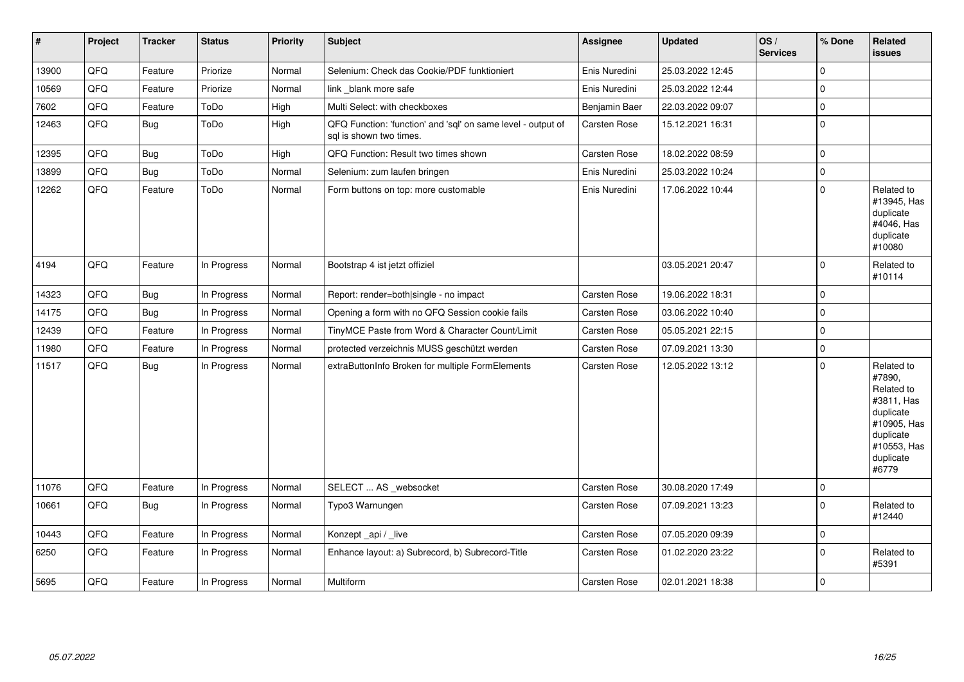| $\vert$ # | Project | <b>Tracker</b> | <b>Status</b> | <b>Priority</b> | <b>Subject</b>                                                                          | Assignee            | <b>Updated</b>   | OS/<br><b>Services</b> | % Done      | Related<br><b>issues</b>                                                                                                       |
|-----------|---------|----------------|---------------|-----------------|-----------------------------------------------------------------------------------------|---------------------|------------------|------------------------|-------------|--------------------------------------------------------------------------------------------------------------------------------|
| 13900     | QFQ     | Feature        | Priorize      | Normal          | Selenium: Check das Cookie/PDF funktioniert                                             | Enis Nuredini       | 25.03.2022 12:45 |                        | $\Omega$    |                                                                                                                                |
| 10569     | QFQ     | Feature        | Priorize      | Normal          | link _blank more safe                                                                   | Enis Nuredini       | 25.03.2022 12:44 |                        | $\Omega$    |                                                                                                                                |
| 7602      | QFQ     | Feature        | ToDo          | High            | Multi Select: with checkboxes                                                           | Benjamin Baer       | 22.03.2022 09:07 |                        | $\mathbf 0$ |                                                                                                                                |
| 12463     | QFQ     | Bug            | ToDo          | High            | QFQ Function: 'function' and 'sql' on same level - output of<br>sal is shown two times. | <b>Carsten Rose</b> | 15.12.2021 16:31 |                        | $\Omega$    |                                                                                                                                |
| 12395     | QFQ     | <b>Bug</b>     | ToDo          | High            | QFQ Function: Result two times shown                                                    | Carsten Rose        | 18.02.2022 08:59 |                        | 0           |                                                                                                                                |
| 13899     | QFQ     | Bug            | ToDo          | Normal          | Selenium: zum laufen bringen                                                            | Enis Nuredini       | 25.03.2022 10:24 |                        | $\Omega$    |                                                                                                                                |
| 12262     | QFQ     | Feature        | ToDo          | Normal          | Form buttons on top: more customable                                                    | Enis Nuredini       | 17.06.2022 10:44 |                        | $\Omega$    | Related to<br>#13945, Has<br>duplicate<br>#4046, Has<br>duplicate<br>#10080                                                    |
| 4194      | QFQ     | Feature        | In Progress   | Normal          | Bootstrap 4 ist jetzt offiziel                                                          |                     | 03.05.2021 20:47 |                        | $\Omega$    | Related to<br>#10114                                                                                                           |
| 14323     | QFQ     | <b>Bug</b>     | In Progress   | Normal          | Report: render=both single - no impact                                                  | Carsten Rose        | 19.06.2022 18:31 |                        | $\Omega$    |                                                                                                                                |
| 14175     | QFQ     | <b>Bug</b>     | In Progress   | Normal          | Opening a form with no QFQ Session cookie fails                                         | Carsten Rose        | 03.06.2022 10:40 |                        | $\Omega$    |                                                                                                                                |
| 12439     | QFQ     | Feature        | In Progress   | Normal          | TinyMCE Paste from Word & Character Count/Limit                                         | Carsten Rose        | 05.05.2021 22:15 |                        | $\Omega$    |                                                                                                                                |
| 11980     | QFQ     | Feature        | In Progress   | Normal          | protected verzeichnis MUSS geschützt werden                                             | Carsten Rose        | 07.09.2021 13:30 |                        | 0           |                                                                                                                                |
| 11517     | QFQ     | <b>Bug</b>     | In Progress   | Normal          | extraButtonInfo Broken for multiple FormElements                                        | <b>Carsten Rose</b> | 12.05.2022 13:12 |                        | $\Omega$    | Related to<br>#7890,<br>Related to<br>#3811, Has<br>duplicate<br>#10905, Has<br>duplicate<br>#10553, Has<br>duplicate<br>#6779 |
| 11076     | QFQ     | Feature        | In Progress   | Normal          | SELECT  AS _websocket                                                                   | Carsten Rose        | 30.08.2020 17:49 |                        | $\Omega$    |                                                                                                                                |
| 10661     | QFQ     | <b>Bug</b>     | In Progress   | Normal          | Typo3 Warnungen                                                                         | Carsten Rose        | 07.09.2021 13:23 |                        | $\Omega$    | Related to<br>#12440                                                                                                           |
| 10443     | QFQ     | Feature        | In Progress   | Normal          | Konzept_api / _live                                                                     | <b>Carsten Rose</b> | 07.05.2020 09:39 |                        | $\Omega$    |                                                                                                                                |
| 6250      | QFQ     | Feature        | In Progress   | Normal          | Enhance layout: a) Subrecord, b) Subrecord-Title                                        | Carsten Rose        | 01.02.2020 23:22 |                        | $\Omega$    | Related to<br>#5391                                                                                                            |
| 5695      | QFQ     | Feature        | In Progress   | Normal          | <b>Multiform</b>                                                                        | <b>Carsten Rose</b> | 02.01.2021 18:38 |                        | $\Omega$    |                                                                                                                                |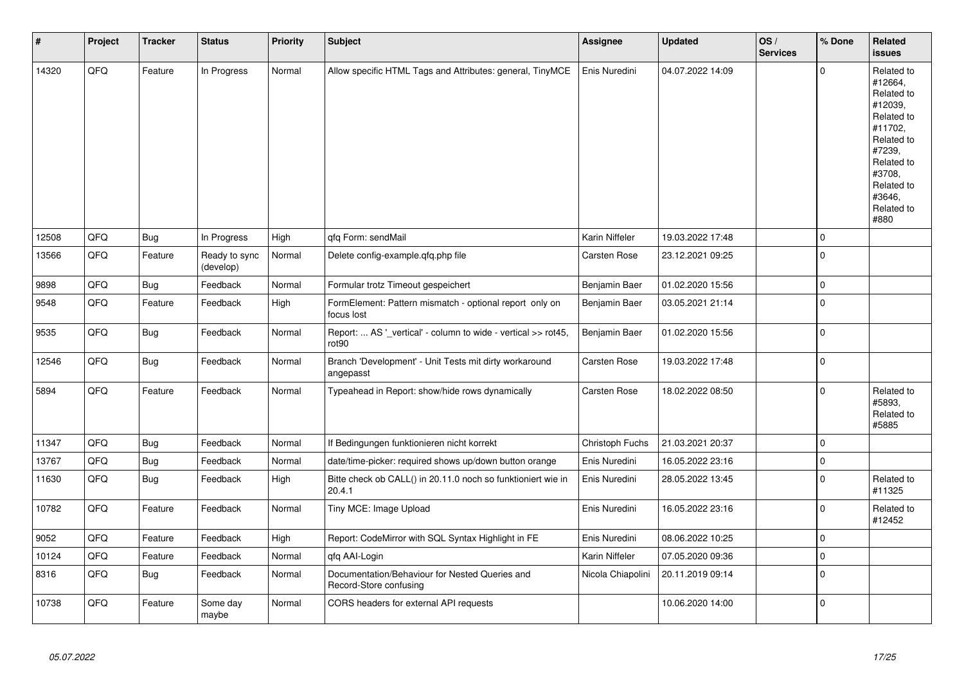| $\vert$ # | Project | <b>Tracker</b> | <b>Status</b>              | <b>Priority</b> | <b>Subject</b>                                                                     | Assignee          | <b>Updated</b>   | OS/<br><b>Services</b> | % Done      | <b>Related</b><br><b>issues</b>                                                                                                                                       |
|-----------|---------|----------------|----------------------------|-----------------|------------------------------------------------------------------------------------|-------------------|------------------|------------------------|-------------|-----------------------------------------------------------------------------------------------------------------------------------------------------------------------|
| 14320     | QFQ     | Feature        | In Progress                | Normal          | Allow specific HTML Tags and Attributes: general, TinyMCE                          | Enis Nuredini     | 04.07.2022 14:09 |                        | $\mathbf 0$ | Related to<br>#12664,<br>Related to<br>#12039,<br>Related to<br>#11702,<br>Related to<br>#7239,<br>Related to<br>#3708,<br>Related to<br>#3646,<br>Related to<br>#880 |
| 12508     | QFQ     | Bug            | In Progress                | High            | qfq Form: sendMail                                                                 | Karin Niffeler    | 19.03.2022 17:48 |                        | $\mathbf 0$ |                                                                                                                                                                       |
| 13566     | QFQ     | Feature        | Ready to sync<br>(develop) | Normal          | Delete config-example.gfg.php file                                                 | Carsten Rose      | 23.12.2021 09:25 |                        | $\mathbf 0$ |                                                                                                                                                                       |
| 9898      | QFQ     | <b>Bug</b>     | Feedback                   | Normal          | Formular trotz Timeout gespeichert                                                 | Benjamin Baer     | 01.02.2020 15:56 |                        | $\mathbf 0$ |                                                                                                                                                                       |
| 9548      | QFQ     | Feature        | Feedback                   | High            | FormElement: Pattern mismatch - optional report only on<br>focus lost              | Benjamin Baer     | 03.05.2021 21:14 |                        | $\mathbf 0$ |                                                                                                                                                                       |
| 9535      | QFQ     | <b>Bug</b>     | Feedback                   | Normal          | Report:  AS '_vertical' - column to wide - vertical >> rot45,<br>rot <sub>90</sub> | Benjamin Baer     | 01.02.2020 15:56 |                        | $\mathbf 0$ |                                                                                                                                                                       |
| 12546     | QFQ     | Bug            | Feedback                   | Normal          | Branch 'Development' - Unit Tests mit dirty workaround<br>angepasst                | Carsten Rose      | 19.03.2022 17:48 |                        | $\mathbf 0$ |                                                                                                                                                                       |
| 5894      | QFQ     | Feature        | Feedback                   | Normal          | Typeahead in Report: show/hide rows dynamically                                    | Carsten Rose      | 18.02.2022 08:50 |                        | $\pmb{0}$   | Related to<br>#5893,<br>Related to<br>#5885                                                                                                                           |
| 11347     | QFQ     | Bug            | Feedback                   | Normal          | If Bedingungen funktionieren nicht korrekt                                         | Christoph Fuchs   | 21.03.2021 20:37 |                        | $\mathbf 0$ |                                                                                                                                                                       |
| 13767     | QFQ     | Bug            | Feedback                   | Normal          | date/time-picker: required shows up/down button orange                             | Enis Nuredini     | 16.05.2022 23:16 |                        | $\mathbf 0$ |                                                                                                                                                                       |
| 11630     | QFQ     | Bug            | Feedback                   | High            | Bitte check ob CALL() in 20.11.0 noch so funktioniert wie in<br>20.4.1             | Enis Nuredini     | 28.05.2022 13:45 |                        | $\Omega$    | Related to<br>#11325                                                                                                                                                  |
| 10782     | QFQ     | Feature        | Feedback                   | Normal          | Tiny MCE: Image Upload                                                             | Enis Nuredini     | 16.05.2022 23:16 |                        | $\mathbf 0$ | Related to<br>#12452                                                                                                                                                  |
| 9052      | QFQ     | Feature        | Feedback                   | High            | Report: CodeMirror with SQL Syntax Highlight in FE                                 | Enis Nuredini     | 08.06.2022 10:25 |                        | $\mathbf 0$ |                                                                                                                                                                       |
| 10124     | QFQ     | Feature        | Feedback                   | Normal          | gfg AAI-Login                                                                      | Karin Niffeler    | 07.05.2020 09:36 |                        | $\mathbf 0$ |                                                                                                                                                                       |
| 8316      | QFQ     | <b>Bug</b>     | Feedback                   | Normal          | Documentation/Behaviour for Nested Queries and<br>Record-Store confusing           | Nicola Chiapolini | 20.11.2019 09:14 |                        | $\Omega$    |                                                                                                                                                                       |
| 10738     | QFQ     | Feature        | Some day<br>maybe          | Normal          | CORS headers for external API requests                                             |                   | 10.06.2020 14:00 |                        | $\mathbf 0$ |                                                                                                                                                                       |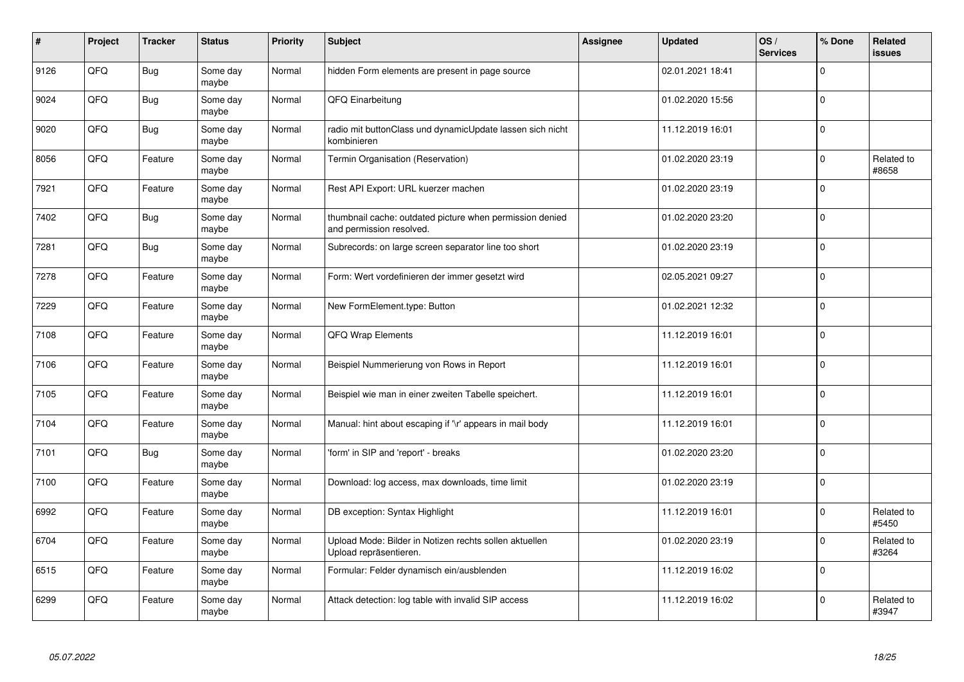| #    | Project | <b>Tracker</b> | <b>Status</b>     | <b>Priority</b> | <b>Subject</b>                                                                       | <b>Assignee</b> | <b>Updated</b>   | OS/<br><b>Services</b> | % Done      | Related<br><b>issues</b> |
|------|---------|----------------|-------------------|-----------------|--------------------------------------------------------------------------------------|-----------------|------------------|------------------------|-------------|--------------------------|
| 9126 | QFQ     | Bug            | Some day<br>maybe | Normal          | hidden Form elements are present in page source                                      |                 | 02.01.2021 18:41 |                        | $\Omega$    |                          |
| 9024 | QFQ     | Bug            | Some day<br>maybe | Normal          | QFQ Einarbeitung                                                                     |                 | 01.02.2020 15:56 |                        | $\mathbf 0$ |                          |
| 9020 | QFQ     | Bug            | Some day<br>maybe | Normal          | radio mit buttonClass und dynamicUpdate lassen sich nicht<br>kombinieren             |                 | 11.12.2019 16:01 |                        | $\Omega$    |                          |
| 8056 | QFQ     | Feature        | Some day<br>maybe | Normal          | Termin Organisation (Reservation)                                                    |                 | 01.02.2020 23:19 |                        | 0           | Related to<br>#8658      |
| 7921 | QFQ     | Feature        | Some day<br>maybe | Normal          | Rest API Export: URL kuerzer machen                                                  |                 | 01.02.2020 23:19 |                        | $\Omega$    |                          |
| 7402 | QFQ     | <b>Bug</b>     | Some day<br>maybe | Normal          | thumbnail cache: outdated picture when permission denied<br>and permission resolved. |                 | 01.02.2020 23:20 |                        | $\pmb{0}$   |                          |
| 7281 | QFQ     | <b>Bug</b>     | Some day<br>maybe | Normal          | Subrecords: on large screen separator line too short                                 |                 | 01.02.2020 23:19 |                        | 0           |                          |
| 7278 | QFQ     | Feature        | Some day<br>maybe | Normal          | Form: Wert vordefinieren der immer gesetzt wird                                      |                 | 02.05.2021 09:27 |                        | 0           |                          |
| 7229 | QFQ     | Feature        | Some day<br>maybe | Normal          | New FormElement.type: Button                                                         |                 | 01.02.2021 12:32 |                        | $\Omega$    |                          |
| 7108 | QFQ     | Feature        | Some day<br>maybe | Normal          | <b>QFQ Wrap Elements</b>                                                             |                 | 11.12.2019 16:01 |                        | 0           |                          |
| 7106 | QFQ     | Feature        | Some day<br>maybe | Normal          | Beispiel Nummerierung von Rows in Report                                             |                 | 11.12.2019 16:01 |                        | 0           |                          |
| 7105 | QFQ     | Feature        | Some day<br>maybe | Normal          | Beispiel wie man in einer zweiten Tabelle speichert.                                 |                 | 11.12.2019 16:01 |                        | 0           |                          |
| 7104 | QFQ     | Feature        | Some day<br>maybe | Normal          | Manual: hint about escaping if '\r' appears in mail body                             |                 | 11.12.2019 16:01 |                        | 0           |                          |
| 7101 | QFQ     | <b>Bug</b>     | Some day<br>maybe | Normal          | 'form' in SIP and 'report' - breaks                                                  |                 | 01.02.2020 23:20 |                        | 0           |                          |
| 7100 | QFQ     | Feature        | Some day<br>maybe | Normal          | Download: log access, max downloads, time limit                                      |                 | 01.02.2020 23:19 |                        | $\pmb{0}$   |                          |
| 6992 | QFQ     | Feature        | Some day<br>maybe | Normal          | DB exception: Syntax Highlight                                                       |                 | 11.12.2019 16:01 |                        | $\Omega$    | Related to<br>#5450      |
| 6704 | QFQ     | Feature        | Some day<br>maybe | Normal          | Upload Mode: Bilder in Notizen rechts sollen aktuellen<br>Upload repräsentieren.     |                 | 01.02.2020 23:19 |                        | $\Omega$    | Related to<br>#3264      |
| 6515 | QFG     | Feature        | Some day<br>maybe | Normal          | Formular: Felder dynamisch ein/ausblenden                                            |                 | 11.12.2019 16:02 |                        | $\pmb{0}$   |                          |
| 6299 | QFQ     | Feature        | Some day<br>maybe | Normal          | Attack detection: log table with invalid SIP access                                  |                 | 11.12.2019 16:02 |                        | $\Omega$    | Related to<br>#3947      |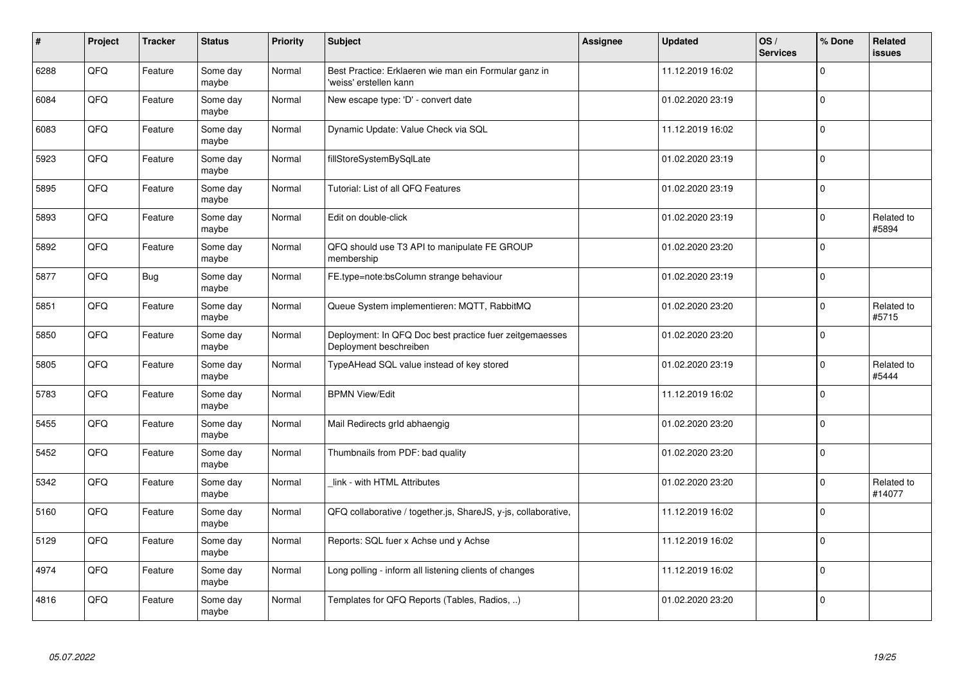| $\vert$ # | Project | <b>Tracker</b> | <b>Status</b>     | Priority | <b>Subject</b>                                                                    | Assignee | <b>Updated</b>   | OS/<br><b>Services</b> | % Done      | Related<br><b>issues</b> |
|-----------|---------|----------------|-------------------|----------|-----------------------------------------------------------------------------------|----------|------------------|------------------------|-------------|--------------------------|
| 6288      | QFQ     | Feature        | Some day<br>maybe | Normal   | Best Practice: Erklaeren wie man ein Formular ganz in<br>'weiss' erstellen kann   |          | 11.12.2019 16:02 |                        | $\Omega$    |                          |
| 6084      | QFQ     | Feature        | Some day<br>maybe | Normal   | New escape type: 'D' - convert date                                               |          | 01.02.2020 23:19 |                        | $\mathbf 0$ |                          |
| 6083      | QFQ     | Feature        | Some day<br>maybe | Normal   | Dynamic Update: Value Check via SQL                                               |          | 11.12.2019 16:02 |                        | $\pmb{0}$   |                          |
| 5923      | QFQ     | Feature        | Some day<br>maybe | Normal   | fillStoreSystemBySqlLate                                                          |          | 01.02.2020 23:19 |                        | $\Omega$    |                          |
| 5895      | QFQ     | Feature        | Some day<br>maybe | Normal   | Tutorial: List of all QFQ Features                                                |          | 01.02.2020 23:19 |                        | $\mathbf 0$ |                          |
| 5893      | QFQ     | Feature        | Some day<br>maybe | Normal   | Edit on double-click                                                              |          | 01.02.2020 23:19 |                        | $\Omega$    | Related to<br>#5894      |
| 5892      | QFQ     | Feature        | Some day<br>maybe | Normal   | QFQ should use T3 API to manipulate FE GROUP<br>membership                        |          | 01.02.2020 23:20 |                        | $\mathbf 0$ |                          |
| 5877      | QFQ     | <b>Bug</b>     | Some day<br>maybe | Normal   | FE.type=note:bsColumn strange behaviour                                           |          | 01.02.2020 23:19 |                        | $\mathbf 0$ |                          |
| 5851      | QFQ     | Feature        | Some day<br>maybe | Normal   | Queue System implementieren: MQTT, RabbitMQ                                       |          | 01.02.2020 23:20 |                        | $\Omega$    | Related to<br>#5715      |
| 5850      | QFQ     | Feature        | Some day<br>maybe | Normal   | Deployment: In QFQ Doc best practice fuer zeitgemaesses<br>Deployment beschreiben |          | 01.02.2020 23:20 |                        | $\mathbf 0$ |                          |
| 5805      | QFQ     | Feature        | Some day<br>maybe | Normal   | TypeAHead SQL value instead of key stored                                         |          | 01.02.2020 23:19 |                        | 0           | Related to<br>#5444      |
| 5783      | QFQ     | Feature        | Some day<br>maybe | Normal   | <b>BPMN View/Edit</b>                                                             |          | 11.12.2019 16:02 |                        | $\mathbf 0$ |                          |
| 5455      | QFQ     | Feature        | Some day<br>maybe | Normal   | Mail Redirects grld abhaengig                                                     |          | 01.02.2020 23:20 |                        | $\mathbf 0$ |                          |
| 5452      | QFQ     | Feature        | Some day<br>maybe | Normal   | Thumbnails from PDF: bad quality                                                  |          | 01.02.2020 23:20 |                        | $\mathbf 0$ |                          |
| 5342      | QFQ     | Feature        | Some day<br>maybe | Normal   | link - with HTML Attributes                                                       |          | 01.02.2020 23:20 |                        | $\Omega$    | Related to<br>#14077     |
| 5160      | QFQ     | Feature        | Some day<br>maybe | Normal   | QFQ collaborative / together.js, ShareJS, y-js, collaborative,                    |          | 11.12.2019 16:02 |                        | $\Omega$    |                          |
| 5129      | QFQ     | Feature        | Some day<br>maybe | Normal   | Reports: SQL fuer x Achse und y Achse                                             |          | 11.12.2019 16:02 |                        | $\mathbf 0$ |                          |
| 4974      | QFQ     | Feature        | Some day<br>maybe | Normal   | Long polling - inform all listening clients of changes                            |          | 11.12.2019 16:02 |                        | $\pmb{0}$   |                          |
| 4816      | QFQ     | Feature        | Some day<br>maybe | Normal   | Templates for QFQ Reports (Tables, Radios, )                                      |          | 01.02.2020 23:20 |                        | $\Omega$    |                          |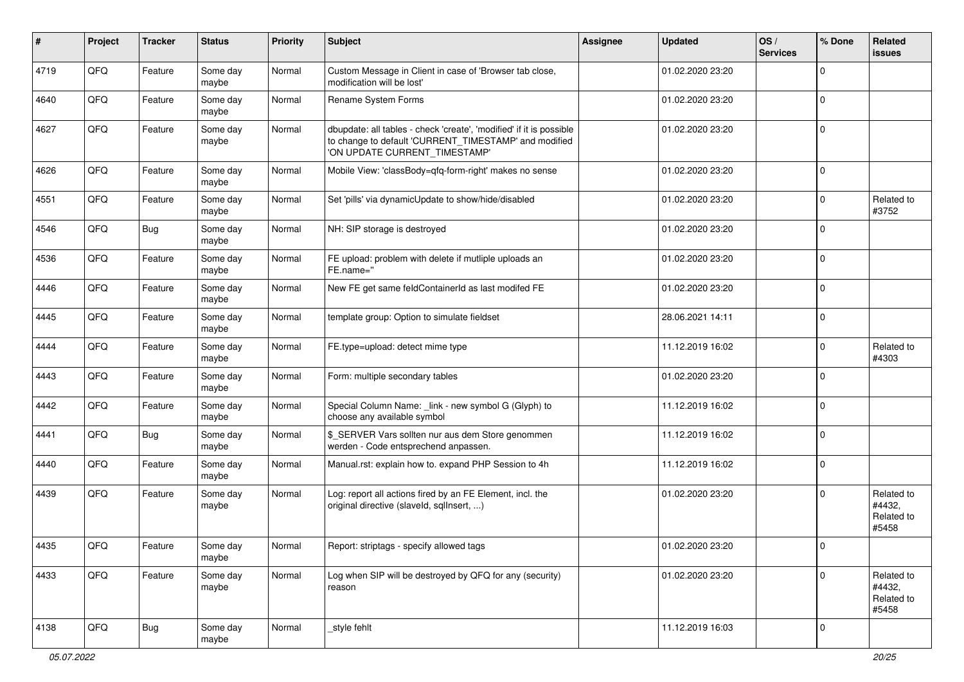| $\pmb{\#}$ | Project        | <b>Tracker</b> | <b>Status</b>     | <b>Priority</b> | <b>Subject</b>                                                                                                                                                | <b>Assignee</b> | <b>Updated</b>   | OS/<br><b>Services</b> | % Done    | Related<br><b>issues</b>                    |
|------------|----------------|----------------|-------------------|-----------------|---------------------------------------------------------------------------------------------------------------------------------------------------------------|-----------------|------------------|------------------------|-----------|---------------------------------------------|
| 4719       | QFQ            | Feature        | Some day<br>maybe | Normal          | Custom Message in Client in case of 'Browser tab close,<br>modification will be lost'                                                                         |                 | 01.02.2020 23:20 |                        | $\Omega$  |                                             |
| 4640       | QFQ            | Feature        | Some day<br>maybe | Normal          | Rename System Forms                                                                                                                                           |                 | 01.02.2020 23:20 |                        | $\Omega$  |                                             |
| 4627       | QFQ            | Feature        | Some day<br>maybe | Normal          | dbupdate: all tables - check 'create', 'modified' if it is possible<br>to change to default 'CURRENT_TIMESTAMP' and modified<br>'ON UPDATE CURRENT TIMESTAMP' |                 | 01.02.2020 23:20 |                        | $\Omega$  |                                             |
| 4626       | QFQ            | Feature        | Some day<br>maybe | Normal          | Mobile View: 'classBody=qfq-form-right' makes no sense                                                                                                        |                 | 01.02.2020 23:20 |                        | $\Omega$  |                                             |
| 4551       | QFQ            | Feature        | Some day<br>maybe | Normal          | Set 'pills' via dynamicUpdate to show/hide/disabled                                                                                                           |                 | 01.02.2020 23:20 |                        | 0         | Related to<br>#3752                         |
| 4546       | QFQ            | <b>Bug</b>     | Some day<br>maybe | Normal          | NH: SIP storage is destroyed                                                                                                                                  |                 | 01.02.2020 23:20 |                        | $\Omega$  |                                             |
| 4536       | QFQ            | Feature        | Some day<br>maybe | Normal          | FE upload: problem with delete if mutliple uploads an<br>FE.name="                                                                                            |                 | 01.02.2020 23:20 |                        | $\Omega$  |                                             |
| 4446       | QFQ            | Feature        | Some day<br>maybe | Normal          | New FE get same feldContainerId as last modifed FE                                                                                                            |                 | 01.02.2020 23:20 |                        | $\Omega$  |                                             |
| 4445       | QFQ            | Feature        | Some day<br>maybe | Normal          | template group: Option to simulate fieldset                                                                                                                   |                 | 28.06.2021 14:11 |                        | $\Omega$  |                                             |
| 4444       | QFQ            | Feature        | Some day<br>maybe | Normal          | FE.type=upload: detect mime type                                                                                                                              |                 | 11.12.2019 16:02 |                        | $\Omega$  | Related to<br>#4303                         |
| 4443       | QFQ            | Feature        | Some day<br>maybe | Normal          | Form: multiple secondary tables                                                                                                                               |                 | 01.02.2020 23:20 |                        | $\Omega$  |                                             |
| 4442       | QFQ            | Feature        | Some day<br>maybe | Normal          | Special Column Name: _link - new symbol G (Glyph) to<br>choose any available symbol                                                                           |                 | 11.12.2019 16:02 |                        | $\Omega$  |                                             |
| 4441       | QFQ            | <b>Bug</b>     | Some day<br>maybe | Normal          | \$ SERVER Vars sollten nur aus dem Store genommen<br>werden - Code entsprechend anpassen.                                                                     |                 | 11.12.2019 16:02 |                        | $\Omega$  |                                             |
| 4440       | QFQ            | Feature        | Some day<br>maybe | Normal          | Manual.rst: explain how to. expand PHP Session to 4h                                                                                                          |                 | 11.12.2019 16:02 |                        | $\Omega$  |                                             |
| 4439       | QFQ            | Feature        | Some day<br>maybe | Normal          | Log: report all actions fired by an FE Element, incl. the<br>original directive (slaveld, sqlInsert, )                                                        |                 | 01.02.2020 23:20 |                        | $\Omega$  | Related to<br>#4432,<br>Related to<br>#5458 |
| 4435       | $\mathsf{QFQ}$ | Feature        | Some day<br>maybe | Normal          | Report: striptags - specify allowed tags                                                                                                                      |                 | 01.02.2020 23:20 |                        |           |                                             |
| 4433       | QFQ            | Feature        | Some day<br>maybe | Normal          | Log when SIP will be destroyed by QFQ for any (security)<br>reason                                                                                            |                 | 01.02.2020 23:20 |                        | $\pmb{0}$ | Related to<br>#4432,<br>Related to<br>#5458 |
| 4138       | QFQ            | <b>Bug</b>     | Some day<br>maybe | Normal          | _style fehlt                                                                                                                                                  |                 | 11.12.2019 16:03 |                        | 0         |                                             |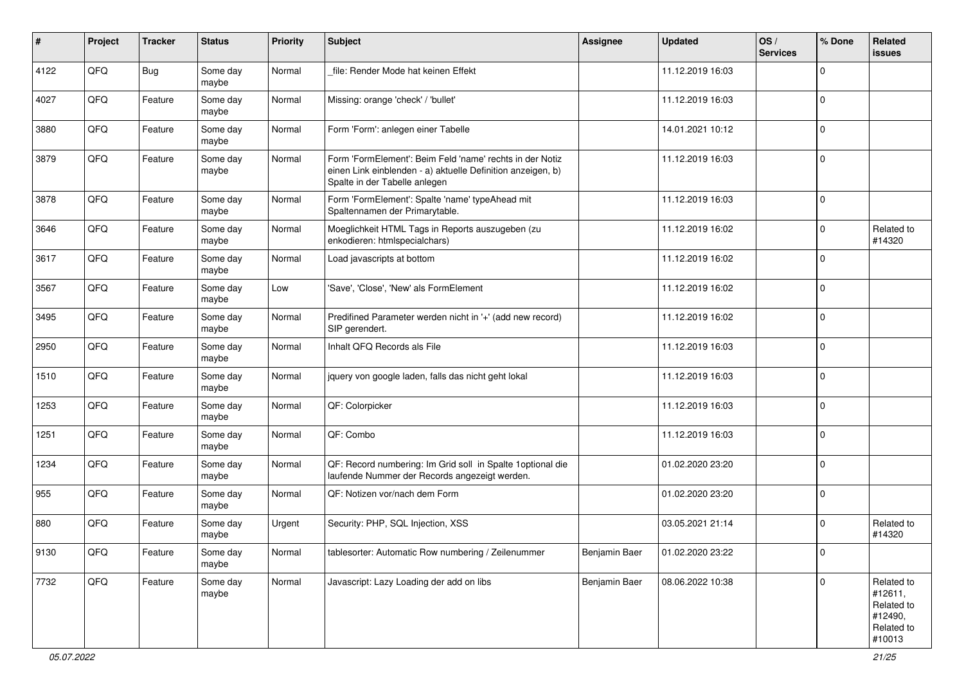| #    | Project | <b>Tracker</b> | <b>Status</b>     | <b>Priority</b> | <b>Subject</b>                                                                                                                                           | Assignee      | <b>Updated</b>   | OS/<br><b>Services</b> | % Done      | Related<br><b>issues</b>                                               |
|------|---------|----------------|-------------------|-----------------|----------------------------------------------------------------------------------------------------------------------------------------------------------|---------------|------------------|------------------------|-------------|------------------------------------------------------------------------|
| 4122 | QFQ     | Bug            | Some day<br>maybe | Normal          | file: Render Mode hat keinen Effekt                                                                                                                      |               | 11.12.2019 16:03 |                        | $\mathbf 0$ |                                                                        |
| 4027 | QFQ     | Feature        | Some day<br>maybe | Normal          | Missing: orange 'check' / 'bullet'                                                                                                                       |               | 11.12.2019 16:03 |                        | $\mathbf 0$ |                                                                        |
| 3880 | QFQ     | Feature        | Some day<br>maybe | Normal          | Form 'Form': anlegen einer Tabelle                                                                                                                       |               | 14.01.2021 10:12 |                        | $\mathbf 0$ |                                                                        |
| 3879 | QFQ     | Feature        | Some day<br>maybe | Normal          | Form 'FormElement': Beim Feld 'name' rechts in der Notiz<br>einen Link einblenden - a) aktuelle Definition anzeigen, b)<br>Spalte in der Tabelle anlegen |               | 11.12.2019 16:03 |                        | $\mathbf 0$ |                                                                        |
| 3878 | QFQ     | Feature        | Some day<br>maybe | Normal          | Form 'FormElement': Spalte 'name' typeAhead mit<br>Spaltennamen der Primarytable.                                                                        |               | 11.12.2019 16:03 |                        | $\mathbf 0$ |                                                                        |
| 3646 | QFQ     | Feature        | Some day<br>maybe | Normal          | Moeglichkeit HTML Tags in Reports auszugeben (zu<br>enkodieren: htmlspecialchars)                                                                        |               | 11.12.2019 16:02 |                        | $\mathbf 0$ | Related to<br>#14320                                                   |
| 3617 | QFQ     | Feature        | Some day<br>maybe | Normal          | Load javascripts at bottom                                                                                                                               |               | 11.12.2019 16:02 |                        | $\mathbf 0$ |                                                                        |
| 3567 | QFQ     | Feature        | Some day<br>maybe | Low             | 'Save', 'Close', 'New' als FormElement                                                                                                                   |               | 11.12.2019 16:02 |                        | $\mathbf 0$ |                                                                        |
| 3495 | QFQ     | Feature        | Some day<br>maybe | Normal          | Predifined Parameter werden nicht in '+' (add new record)<br>SIP gerendert.                                                                              |               | 11.12.2019 16:02 |                        | $\mathbf 0$ |                                                                        |
| 2950 | QFQ     | Feature        | Some day<br>maybe | Normal          | Inhalt QFQ Records als File                                                                                                                              |               | 11.12.2019 16:03 |                        | $\mathbf 0$ |                                                                        |
| 1510 | QFQ     | Feature        | Some day<br>maybe | Normal          | jquery von google laden, falls das nicht geht lokal                                                                                                      |               | 11.12.2019 16:03 |                        | $\mathbf 0$ |                                                                        |
| 1253 | QFQ     | Feature        | Some day<br>maybe | Normal          | QF: Colorpicker                                                                                                                                          |               | 11.12.2019 16:03 |                        | $\mathbf 0$ |                                                                        |
| 1251 | QFQ     | Feature        | Some day<br>maybe | Normal          | QF: Combo                                                                                                                                                |               | 11.12.2019 16:03 |                        | $\mathbf 0$ |                                                                        |
| 1234 | QFQ     | Feature        | Some day<br>maybe | Normal          | QF: Record numbering: Im Grid soll in Spalte 1 optional die<br>laufende Nummer der Records angezeigt werden.                                             |               | 01.02.2020 23:20 |                        | $\mathbf 0$ |                                                                        |
| 955  | QFQ     | Feature        | Some day<br>maybe | Normal          | QF: Notizen vor/nach dem Form                                                                                                                            |               | 01.02.2020 23:20 |                        | $\mathbf 0$ |                                                                        |
| 880  | QFQ     | Feature        | Some day<br>maybe | Urgent          | Security: PHP, SQL Injection, XSS                                                                                                                        |               | 03.05.2021 21:14 |                        | 0           | Related to<br>#14320                                                   |
| 9130 | QFQ     | Feature        | Some day<br>maybe | Normal          | tablesorter: Automatic Row numbering / Zeilenummer                                                                                                       | Benjamin Baer | 01.02.2020 23:22 |                        | 0           |                                                                        |
| 7732 | QFQ     | Feature        | Some day<br>maybe | Normal          | Javascript: Lazy Loading der add on libs                                                                                                                 | Benjamin Baer | 08.06.2022 10:38 |                        | $\mathbf 0$ | Related to<br>#12611,<br>Related to<br>#12490,<br>Related to<br>#10013 |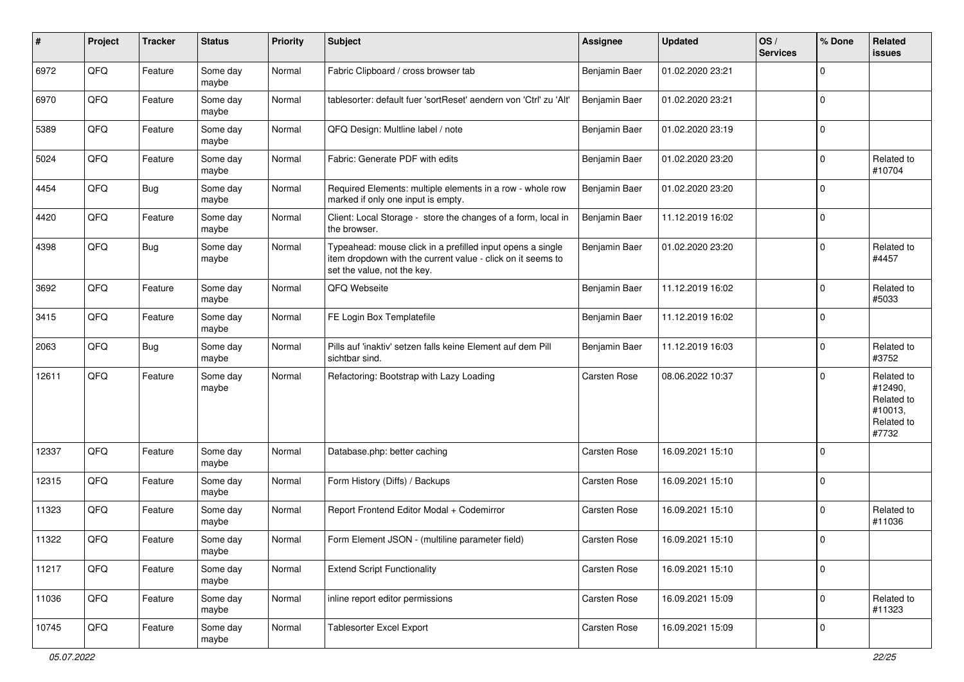| #     | Project | <b>Tracker</b> | <b>Status</b>     | <b>Priority</b> | <b>Subject</b>                                                                                                                                           | <b>Assignee</b>     | <b>Updated</b>   | OS/<br><b>Services</b> | % Done      | Related<br><b>issues</b>                                              |
|-------|---------|----------------|-------------------|-----------------|----------------------------------------------------------------------------------------------------------------------------------------------------------|---------------------|------------------|------------------------|-------------|-----------------------------------------------------------------------|
| 6972  | QFQ     | Feature        | Some day<br>maybe | Normal          | Fabric Clipboard / cross browser tab                                                                                                                     | Benjamin Baer       | 01.02.2020 23:21 |                        | $\Omega$    |                                                                       |
| 6970  | QFQ     | Feature        | Some day<br>maybe | Normal          | tablesorter: default fuer 'sortReset' aendern von 'Ctrl' zu 'Alt'                                                                                        | Benjamin Baer       | 01.02.2020 23:21 |                        | $\mathbf 0$ |                                                                       |
| 5389  | QFQ     | Feature        | Some day<br>maybe | Normal          | QFQ Design: Multline label / note                                                                                                                        | Benjamin Baer       | 01.02.2020 23:19 |                        | $\Omega$    |                                                                       |
| 5024  | QFQ     | Feature        | Some day<br>maybe | Normal          | Fabric: Generate PDF with edits                                                                                                                          | Benjamin Baer       | 01.02.2020 23:20 |                        | $\mathbf 0$ | Related to<br>#10704                                                  |
| 4454  | QFQ     | <b>Bug</b>     | Some day<br>maybe | Normal          | Required Elements: multiple elements in a row - whole row<br>marked if only one input is empty.                                                          | Benjamin Baer       | 01.02.2020 23:20 |                        | $\mathbf 0$ |                                                                       |
| 4420  | QFQ     | Feature        | Some day<br>maybe | Normal          | Client: Local Storage - store the changes of a form, local in<br>the browser.                                                                            | Benjamin Baer       | 11.12.2019 16:02 |                        | $\mathbf 0$ |                                                                       |
| 4398  | QFQ     | Bug            | Some day<br>maybe | Normal          | Typeahead: mouse click in a prefilled input opens a single<br>item dropdown with the current value - click on it seems to<br>set the value, not the key. | Benjamin Baer       | 01.02.2020 23:20 |                        | $\Omega$    | Related to<br>#4457                                                   |
| 3692  | QFQ     | Feature        | Some day<br>maybe | Normal          | QFQ Webseite                                                                                                                                             | Benjamin Baer       | 11.12.2019 16:02 |                        | $\mathbf 0$ | Related to<br>#5033                                                   |
| 3415  | QFQ     | Feature        | Some day<br>maybe | Normal          | FE Login Box Templatefile                                                                                                                                | Benjamin Baer       | 11.12.2019 16:02 |                        | $\mathbf 0$ |                                                                       |
| 2063  | QFQ     | Bug            | Some day<br>maybe | Normal          | Pills auf 'inaktiv' setzen falls keine Element auf dem Pill<br>sichtbar sind.                                                                            | Benjamin Baer       | 11.12.2019 16:03 |                        | $\mathbf 0$ | Related to<br>#3752                                                   |
| 12611 | QFQ     | Feature        | Some day<br>maybe | Normal          | Refactoring: Bootstrap with Lazy Loading                                                                                                                 | <b>Carsten Rose</b> | 08.06.2022 10:37 |                        | $\mathbf 0$ | Related to<br>#12490,<br>Related to<br>#10013,<br>Related to<br>#7732 |
| 12337 | QFQ     | Feature        | Some day<br>maybe | Normal          | Database.php: better caching                                                                                                                             | Carsten Rose        | 16.09.2021 15:10 |                        | $\Omega$    |                                                                       |
| 12315 | QFQ     | Feature        | Some day<br>maybe | Normal          | Form History (Diffs) / Backups                                                                                                                           | <b>Carsten Rose</b> | 16.09.2021 15:10 |                        | $\mathbf 0$ |                                                                       |
| 11323 | QFQ     | Feature        | Some day<br>maybe | Normal          | Report Frontend Editor Modal + Codemirror                                                                                                                | <b>Carsten Rose</b> | 16.09.2021 15:10 |                        | $\Omega$    | Related to<br>#11036                                                  |
| 11322 | QFQ     | Feature        | Some day<br>maybe | Normal          | Form Element JSON - (multiline parameter field)                                                                                                          | <b>Carsten Rose</b> | 16.09.2021 15:10 |                        | $\mathbf 0$ |                                                                       |
| 11217 | QFQ     | Feature        | Some day<br>maybe | Normal          | <b>Extend Script Functionality</b>                                                                                                                       | Carsten Rose        | 16.09.2021 15:10 |                        | $\pmb{0}$   |                                                                       |
| 11036 | QFQ     | Feature        | Some day<br>maybe | Normal          | inline report editor permissions                                                                                                                         | Carsten Rose        | 16.09.2021 15:09 |                        | $\mathbf 0$ | Related to<br>#11323                                                  |
| 10745 | QFG     | Feature        | Some day<br>maybe | Normal          | <b>Tablesorter Excel Export</b>                                                                                                                          | Carsten Rose        | 16.09.2021 15:09 |                        | $\mathbf 0$ |                                                                       |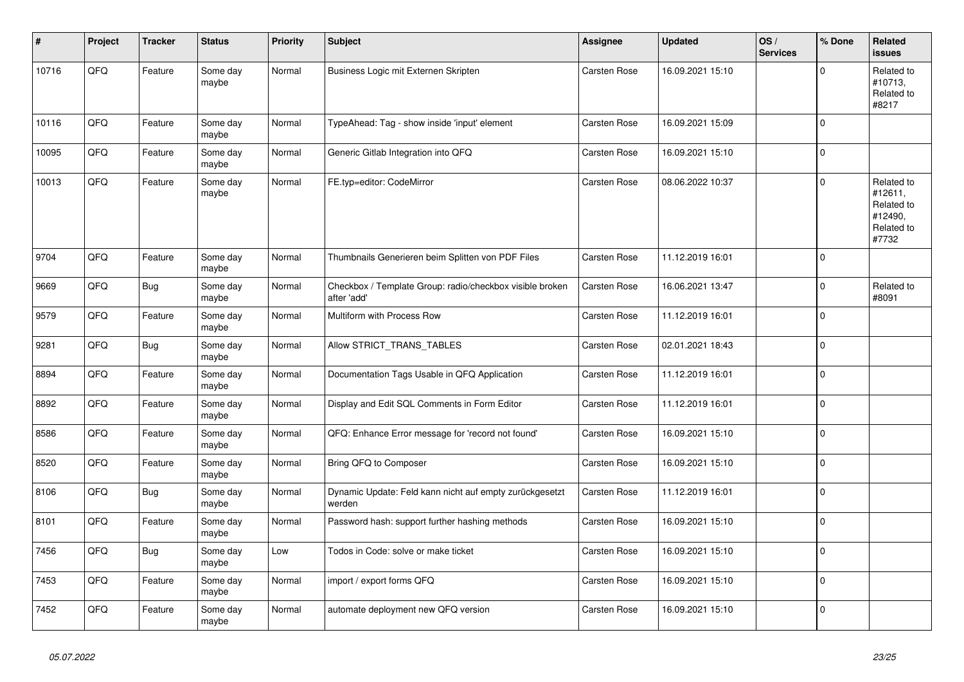| ∦     | Project | <b>Tracker</b> | <b>Status</b>     | <b>Priority</b> | <b>Subject</b>                                                          | Assignee            | <b>Updated</b>   | OS/<br><b>Services</b> | % Done      | Related<br><b>issues</b>                                              |
|-------|---------|----------------|-------------------|-----------------|-------------------------------------------------------------------------|---------------------|------------------|------------------------|-------------|-----------------------------------------------------------------------|
| 10716 | QFQ     | Feature        | Some day<br>maybe | Normal          | Business Logic mit Externen Skripten                                    | <b>Carsten Rose</b> | 16.09.2021 15:10 |                        | $\Omega$    | Related to<br>#10713,<br>Related to<br>#8217                          |
| 10116 | QFQ     | Feature        | Some day<br>maybe | Normal          | TypeAhead: Tag - show inside 'input' element                            | Carsten Rose        | 16.09.2021 15:09 |                        | $\Omega$    |                                                                       |
| 10095 | QFQ     | Feature        | Some day<br>maybe | Normal          | Generic Gitlab Integration into QFQ                                     | Carsten Rose        | 16.09.2021 15:10 |                        | 0           |                                                                       |
| 10013 | QFQ     | Feature        | Some day<br>maybe | Normal          | FE.typ=editor: CodeMirror                                               | <b>Carsten Rose</b> | 08.06.2022 10:37 |                        | $\Omega$    | Related to<br>#12611,<br>Related to<br>#12490,<br>Related to<br>#7732 |
| 9704  | QFQ     | Feature        | Some day<br>maybe | Normal          | Thumbnails Generieren beim Splitten von PDF Files                       | Carsten Rose        | 11.12.2019 16:01 |                        | $\Omega$    |                                                                       |
| 9669  | QFQ     | <b>Bug</b>     | Some day<br>maybe | Normal          | Checkbox / Template Group: radio/checkbox visible broken<br>after 'add' | <b>Carsten Rose</b> | 16.06.2021 13:47 |                        | $\Omega$    | Related to<br>#8091                                                   |
| 9579  | QFQ     | Feature        | Some day<br>maybe | Normal          | Multiform with Process Row                                              | Carsten Rose        | 11.12.2019 16:01 |                        | $\mathbf 0$ |                                                                       |
| 9281  | QFQ     | Bug            | Some day<br>maybe | Normal          | Allow STRICT_TRANS_TABLES                                               | Carsten Rose        | 02.01.2021 18:43 |                        | $\Omega$    |                                                                       |
| 8894  | QFQ     | Feature        | Some day<br>maybe | Normal          | Documentation Tags Usable in QFQ Application                            | Carsten Rose        | 11.12.2019 16:01 |                        | $\Omega$    |                                                                       |
| 8892  | QFQ     | Feature        | Some day<br>maybe | Normal          | Display and Edit SQL Comments in Form Editor                            | <b>Carsten Rose</b> | 11.12.2019 16:01 |                        | 0           |                                                                       |
| 8586  | QFQ     | Feature        | Some day<br>maybe | Normal          | QFQ: Enhance Error message for 'record not found'                       | Carsten Rose        | 16.09.2021 15:10 |                        | $\Omega$    |                                                                       |
| 8520  | QFQ     | Feature        | Some day<br>maybe | Normal          | Bring QFQ to Composer                                                   | Carsten Rose        | 16.09.2021 15:10 |                        | $\Omega$    |                                                                       |
| 8106  | QFQ     | Bug            | Some day<br>maybe | Normal          | Dynamic Update: Feld kann nicht auf empty zurückgesetzt<br>werden       | Carsten Rose        | 11.12.2019 16:01 |                        | $\pmb{0}$   |                                                                       |
| 8101  | QFQ     | Feature        | Some day<br>maybe | Normal          | Password hash: support further hashing methods                          | Carsten Rose        | 16.09.2021 15:10 |                        | $\Omega$    |                                                                       |
| 7456  | QFQ     | <b>Bug</b>     | Some day<br>maybe | Low             | Todos in Code: solve or make ticket                                     | Carsten Rose        | 16.09.2021 15:10 |                        | $\Omega$    |                                                                       |
| 7453  | QFQ     | Feature        | Some day<br>maybe | Normal          | import / export forms QFQ                                               | Carsten Rose        | 16.09.2021 15:10 |                        | $\Omega$    |                                                                       |
| 7452  | QFQ     | Feature        | Some day<br>maybe | Normal          | automate deployment new QFQ version                                     | <b>Carsten Rose</b> | 16.09.2021 15:10 |                        | $\Omega$    |                                                                       |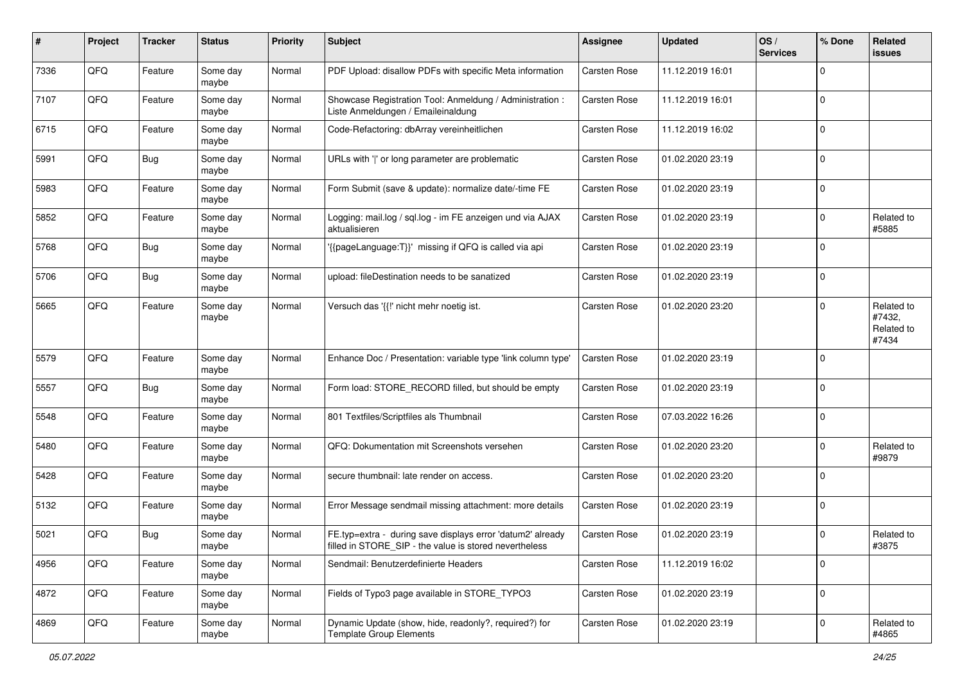| #    | Project | <b>Tracker</b> | <b>Status</b>     | <b>Priority</b> | <b>Subject</b>                                                                                                       | Assignee            | <b>Updated</b>   | OS/<br><b>Services</b> | % Done      | <b>Related</b><br>issues                    |
|------|---------|----------------|-------------------|-----------------|----------------------------------------------------------------------------------------------------------------------|---------------------|------------------|------------------------|-------------|---------------------------------------------|
| 7336 | QFQ     | Feature        | Some day<br>maybe | Normal          | PDF Upload: disallow PDFs with specific Meta information                                                             | <b>Carsten Rose</b> | 11.12.2019 16:01 |                        | $\Omega$    |                                             |
| 7107 | QFQ     | Feature        | Some day<br>maybe | Normal          | Showcase Registration Tool: Anmeldung / Administration :<br>Liste Anmeldungen / Emaileinaldung                       | <b>Carsten Rose</b> | 11.12.2019 16:01 |                        | $\mathbf 0$ |                                             |
| 6715 | QFQ     | Feature        | Some day<br>maybe | Normal          | Code-Refactoring: dbArray vereinheitlichen                                                                           | <b>Carsten Rose</b> | 11.12.2019 16:02 |                        | $\Omega$    |                                             |
| 5991 | QFQ     | Bug            | Some day<br>maybe | Normal          | URLs with ' ' or long parameter are problematic                                                                      | <b>Carsten Rose</b> | 01.02.2020 23:19 |                        | $\mathbf 0$ |                                             |
| 5983 | QFQ     | Feature        | Some day<br>maybe | Normal          | Form Submit (save & update): normalize date/-time FE                                                                 | <b>Carsten Rose</b> | 01.02.2020 23:19 |                        | $\mathbf 0$ |                                             |
| 5852 | QFQ     | Feature        | Some day<br>maybe | Normal          | Logging: mail.log / sql.log - im FE anzeigen und via AJAX<br>aktualisieren                                           | Carsten Rose        | 01.02.2020 23:19 |                        | $\mathbf 0$ | Related to<br>#5885                         |
| 5768 | QFQ     | Bug            | Some day<br>maybe | Normal          | '{{pageLanguage:T}}' missing if QFQ is called via api                                                                | Carsten Rose        | 01.02.2020 23:19 |                        | $\mathbf 0$ |                                             |
| 5706 | QFQ     | Bug            | Some day<br>maybe | Normal          | upload: fileDestination needs to be sanatized                                                                        | <b>Carsten Rose</b> | 01.02.2020 23:19 |                        | $\mathbf 0$ |                                             |
| 5665 | QFQ     | Feature        | Some day<br>maybe | Normal          | Versuch das '{{!' nicht mehr noetig ist.                                                                             | <b>Carsten Rose</b> | 01.02.2020 23:20 |                        | $\mathbf 0$ | Related to<br>#7432,<br>Related to<br>#7434 |
| 5579 | QFQ     | Feature        | Some day<br>maybe | Normal          | Enhance Doc / Presentation: variable type 'link column type'                                                         | <b>Carsten Rose</b> | 01.02.2020 23:19 |                        | $\mathbf 0$ |                                             |
| 5557 | QFQ     | Bug            | Some day<br>maybe | Normal          | Form load: STORE RECORD filled, but should be empty                                                                  | <b>Carsten Rose</b> | 01.02.2020 23:19 |                        | $\mathbf 0$ |                                             |
| 5548 | QFQ     | Feature        | Some day<br>maybe | Normal          | 801 Textfiles/Scriptfiles als Thumbnail                                                                              | <b>Carsten Rose</b> | 07.03.2022 16:26 |                        | $\mathbf 0$ |                                             |
| 5480 | QFQ     | Feature        | Some day<br>maybe | Normal          | QFQ: Dokumentation mit Screenshots versehen                                                                          | <b>Carsten Rose</b> | 01.02.2020 23:20 |                        | $\mathbf 0$ | Related to<br>#9879                         |
| 5428 | QFQ     | Feature        | Some day<br>maybe | Normal          | secure thumbnail: late render on access.                                                                             | <b>Carsten Rose</b> | 01.02.2020 23:20 |                        | $\Omega$    |                                             |
| 5132 | QFQ     | Feature        | Some day<br>maybe | Normal          | Error Message sendmail missing attachment: more details                                                              | Carsten Rose        | 01.02.2020 23:19 |                        | $\mathbf 0$ |                                             |
| 5021 | QFQ     | Bug            | Some day<br>maybe | Normal          | FE.typ=extra - during save displays error 'datum2' already<br>filled in STORE_SIP - the value is stored nevertheless | <b>Carsten Rose</b> | 01.02.2020 23:19 |                        | $\mathbf 0$ | Related to<br>#3875                         |
| 4956 | QFQ     | Feature        | Some day<br>maybe | Normal          | Sendmail: Benutzerdefinierte Headers                                                                                 | Carsten Rose        | 11.12.2019 16:02 |                        | $\mathbf 0$ |                                             |
| 4872 | QFQ     | Feature        | Some day<br>maybe | Normal          | Fields of Typo3 page available in STORE_TYPO3                                                                        | Carsten Rose        | 01.02.2020 23:19 |                        | $\mathbf 0$ |                                             |
| 4869 | QFQ     | Feature        | Some day<br>maybe | Normal          | Dynamic Update (show, hide, readonly?, required?) for<br><b>Template Group Elements</b>                              | Carsten Rose        | 01.02.2020 23:19 |                        | $\mathbf 0$ | Related to<br>#4865                         |